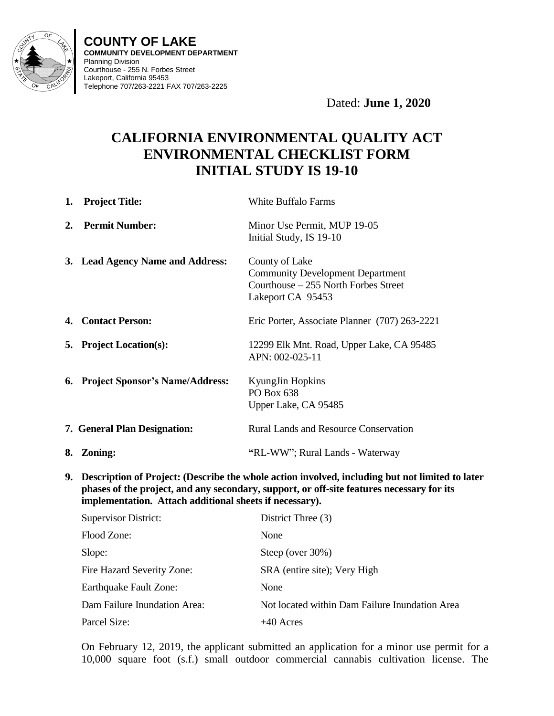

**COUNTY OF LAKE COMMUNITY DEVELOPMENT DEPARTMENT** Planning Division Courthouse - 255 N. Forbes Street Lakeport, California 95453 Telephone 707/263-2221 FAX 707/263-2225

Dated: **June 1, 2020**

# **CALIFORNIA ENVIRONMENTAL QUALITY ACT ENVIRONMENTAL CHECKLIST FORM INITIAL STUDY IS 19-10**

| 1. | <b>Project Title:</b>                                   | <b>White Buffalo Farms</b>                                                                                                                                                                   |
|----|---------------------------------------------------------|----------------------------------------------------------------------------------------------------------------------------------------------------------------------------------------------|
| 2. | <b>Permit Number:</b>                                   | Minor Use Permit, MUP 19-05<br>Initial Study, IS 19-10                                                                                                                                       |
|    | 3. Lead Agency Name and Address:                        | County of Lake<br><b>Community Development Department</b><br>Courthouse – 255 North Forbes Street<br>Lakeport CA 95453                                                                       |
|    | 4. Contact Person:                                      | Eric Porter, Associate Planner (707) 263-2221                                                                                                                                                |
|    | 5. Project Location(s):                                 | 12299 Elk Mnt. Road, Upper Lake, CA 95485<br>APN: 002-025-11                                                                                                                                 |
|    | 6. Project Sponsor's Name/Address:                      | KyungJin Hopkins<br>PO Box 638<br>Upper Lake, CA 95485                                                                                                                                       |
|    | 7. General Plan Designation:                            | <b>Rural Lands and Resource Conservation</b>                                                                                                                                                 |
|    | 8. Zoning:                                              | "RL-WW"; Rural Lands - Waterway                                                                                                                                                              |
| 9. | implementation. Attach additional sheets if necessary). | Description of Project: (Describe the whole action involved, including but not limited to later<br>phases of the project, and any secondary, support, or off-site features necessary for its |
|    | <b>Supervisor District:</b>                             | District Three (3)                                                                                                                                                                           |
|    | Flood Zone:                                             | None                                                                                                                                                                                         |
|    | Slope:                                                  | Steep (over 30%)                                                                                                                                                                             |
|    | Fire Hazard Severity Zone:                              | SRA (entire site); Very High                                                                                                                                                                 |
|    | Earthquake Fault Zone:                                  | None                                                                                                                                                                                         |
|    | Dam Failure Inundation Area:                            | Not located within Dam Failure Inundation Area                                                                                                                                               |
|    |                                                         |                                                                                                                                                                                              |

On February 12, 2019, the applicant submitted an application for a minor use permit for a 10,000 square foot (s.f.) small outdoor commercial cannabis cultivation license. The

Parcel Size:  $+40$  Acres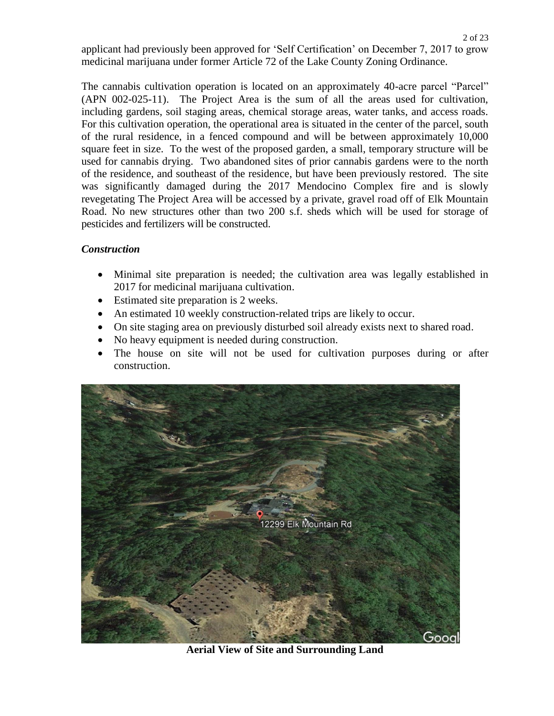applicant had previously been approved for 'Self Certification' on December 7, 2017 to grow medicinal marijuana under former Article 72 of the Lake County Zoning Ordinance.

The cannabis cultivation operation is located on an approximately 40-acre parcel "Parcel" (APN 002-025-11). The Project Area is the sum of all the areas used for cultivation, including gardens, soil staging areas, chemical storage areas, water tanks, and access roads. For this cultivation operation, the operational area is situated in the center of the parcel, south of the rural residence, in a fenced compound and will be between approximately 10,000 square feet in size. To the west of the proposed garden, a small, temporary structure will be used for cannabis drying. Two abandoned sites of prior cannabis gardens were to the north of the residence, and southeast of the residence, but have been previously restored. The site was significantly damaged during the 2017 Mendocino Complex fire and is slowly revegetating The Project Area will be accessed by a private, gravel road off of Elk Mountain Road. No new structures other than two 200 s.f. sheds which will be used for storage of pesticides and fertilizers will be constructed.

# *Construction*

- Minimal site preparation is needed; the cultivation area was legally established in 2017 for medicinal marijuana cultivation.
- Estimated site preparation is 2 weeks.
- An estimated 10 weekly construction-related trips are likely to occur.
- On site staging area on previously disturbed soil already exists next to shared road.
- No heavy equipment is needed during construction.
- The house on site will not be used for cultivation purposes during or after construction.



**Aerial View of Site and Surrounding Land**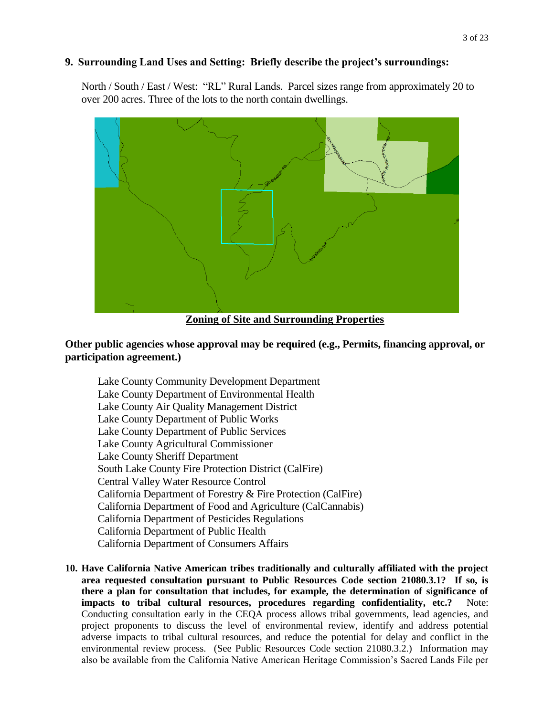## **9. Surrounding Land Uses and Setting: Briefly describe the project's surroundings:**

North / South / East / West: "RL" Rural Lands. Parcel sizes range from approximately 20 to over 200 acres. Three of the lots to the north contain dwellings.



## **Other public agencies whose approval may be required (e.g., Permits, financing approval, or participation agreement.)**

Lake County Community Development Department Lake County Department of Environmental Health Lake County Air Quality Management District Lake County Department of Public Works Lake County Department of Public Services Lake County Agricultural Commissioner Lake County Sheriff Department South Lake County Fire Protection District (CalFire) Central Valley Water Resource Control California Department of Forestry & Fire Protection (CalFire) California Department of Food and Agriculture (CalCannabis) California Department of Pesticides Regulations California Department of Public Health California Department of Consumers Affairs

**10. Have California Native American tribes traditionally and culturally affiliated with the project area requested consultation pursuant to Public Resources Code section 21080.3.1? If so, is there a plan for consultation that includes, for example, the determination of significance of impacts to tribal cultural resources, procedures regarding confidentiality, etc.?** Note: Conducting consultation early in the CEQA process allows tribal governments, lead agencies, and project proponents to discuss the level of environmental review, identify and address potential adverse impacts to tribal cultural resources, and reduce the potential for delay and conflict in the environmental review process. (See Public Resources Code section 21080.3.2.) Information may also be available from the California Native American Heritage Commission's Sacred Lands File per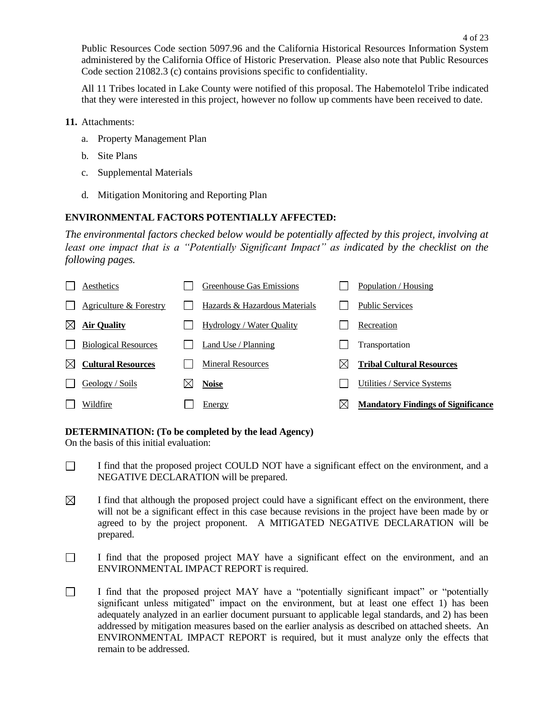All 11 Tribes located in Lake County were notified of this proposal. The Habemotelol Tribe indicated that they were interested in this project, however no follow up comments have been received to date.

- **11.** Attachments:
	- a. Property Management Plan
	- b. Site Plans
	- c. Supplemental Materials
	- d. Mitigation Monitoring and Reporting Plan

# **ENVIRONMENTAL FACTORS POTENTIALLY AFFECTED:**

*The environmental factors checked below would be potentially affected by this project, involving at least one impact that is a "Potentially Significant Impact" as indicated by the checklist on the following pages.*

|             | Aesthetics                  | Greenhouse Gas Emissions         |    | Population / Housing                      |
|-------------|-----------------------------|----------------------------------|----|-------------------------------------------|
|             | Agriculture & Forestry      | Hazards & Hazardous Materials    |    | <b>Public Services</b>                    |
| $\boxtimes$ | <b>Air Quality</b>          | <b>Hydrology</b> / Water Quality |    | Recreation                                |
|             | <b>Biological Resources</b> | Land Use / Planning              |    | Transportation                            |
| ⊠           | <b>Cultural Resources</b>   | <b>Mineral Resources</b>         | IX | <b>Tribal Cultural Resources</b>          |
|             | Geology / Soils             | <b>Noise</b>                     |    | Utilities / Service Systems               |
|             | Wildfire                    | <b>Energy</b>                    | ⋉  | <b>Mandatory Findings of Significance</b> |

## **DETERMINATION: (To be completed by the lead Agency)**

On the basis of this initial evaluation:

- $\Box$ I find that the proposed project COULD NOT have a significant effect on the environment, and a NEGATIVE DECLARATION will be prepared.
- $\boxtimes$ I find that although the proposed project could have a significant effect on the environment, there will not be a significant effect in this case because revisions in the project have been made by or agreed to by the project proponent. A MITIGATED NEGATIVE DECLARATION will be prepared.
- $\Box$ I find that the proposed project MAY have a significant effect on the environment, and an ENVIRONMENTAL IMPACT REPORT is required.
- $\Box$ I find that the proposed project MAY have a "potentially significant impact" or "potentially significant unless mitigated" impact on the environment, but at least one effect 1) has been adequately analyzed in an earlier document pursuant to applicable legal standards, and 2) has been addressed by mitigation measures based on the earlier analysis as described on attached sheets. An ENVIRONMENTAL IMPACT REPORT is required, but it must analyze only the effects that remain to be addressed.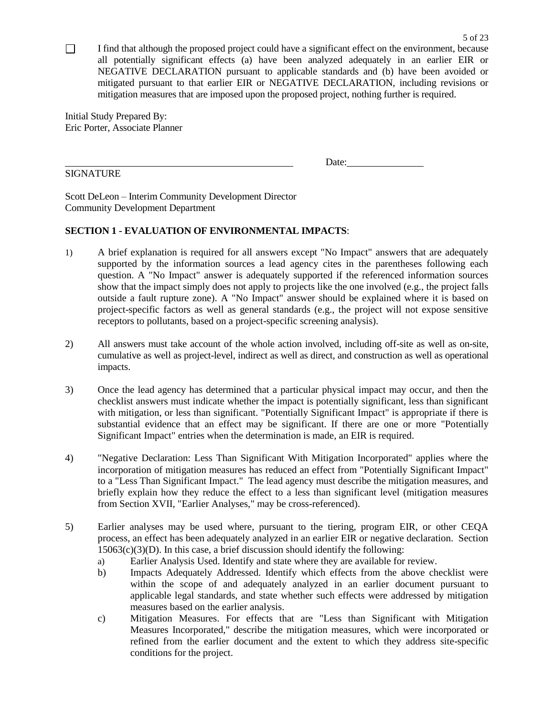$\Box$ I find that although the proposed project could have a significant effect on the environment, because all potentially significant effects (a) have been analyzed adequately in an earlier EIR or NEGATIVE DECLARATION pursuant to applicable standards and (b) have been avoided or mitigated pursuant to that earlier EIR or NEGATIVE DECLARATION, including revisions or mitigation measures that are imposed upon the proposed project, nothing further is required.

Initial Study Prepared By: Eric Porter, Associate Planner

## SIGNATURE

Date:

Scott DeLeon – Interim Community Development Director Community Development Department

## **SECTION 1 - EVALUATION OF ENVIRONMENTAL IMPACTS**:

- 1) A brief explanation is required for all answers except "No Impact" answers that are adequately supported by the information sources a lead agency cites in the parentheses following each question. A "No Impact" answer is adequately supported if the referenced information sources show that the impact simply does not apply to projects like the one involved (e.g., the project falls outside a fault rupture zone). A "No Impact" answer should be explained where it is based on project-specific factors as well as general standards (e.g., the project will not expose sensitive receptors to pollutants, based on a project-specific screening analysis).
- 2) All answers must take account of the whole action involved, including off-site as well as on-site, cumulative as well as project-level, indirect as well as direct, and construction as well as operational impacts.
- 3) Once the lead agency has determined that a particular physical impact may occur, and then the checklist answers must indicate whether the impact is potentially significant, less than significant with mitigation, or less than significant. "Potentially Significant Impact" is appropriate if there is substantial evidence that an effect may be significant. If there are one or more "Potentially Significant Impact" entries when the determination is made, an EIR is required.
- 4) "Negative Declaration: Less Than Significant With Mitigation Incorporated" applies where the incorporation of mitigation measures has reduced an effect from "Potentially Significant Impact" to a "Less Than Significant Impact." The lead agency must describe the mitigation measures, and briefly explain how they reduce the effect to a less than significant level (mitigation measures from Section XVII, "Earlier Analyses," may be cross-referenced).
- 5) Earlier analyses may be used where, pursuant to the tiering, program EIR, or other CEQA process, an effect has been adequately analyzed in an earlier EIR or negative declaration. Section  $15063(c)(3)(D)$ . In this case, a brief discussion should identify the following:
	- a) Earlier Analysis Used. Identify and state where they are available for review.
	- b) Impacts Adequately Addressed. Identify which effects from the above checklist were within the scope of and adequately analyzed in an earlier document pursuant to applicable legal standards, and state whether such effects were addressed by mitigation measures based on the earlier analysis.
	- c) Mitigation Measures. For effects that are "Less than Significant with Mitigation Measures Incorporated," describe the mitigation measures, which were incorporated or refined from the earlier document and the extent to which they address site-specific conditions for the project.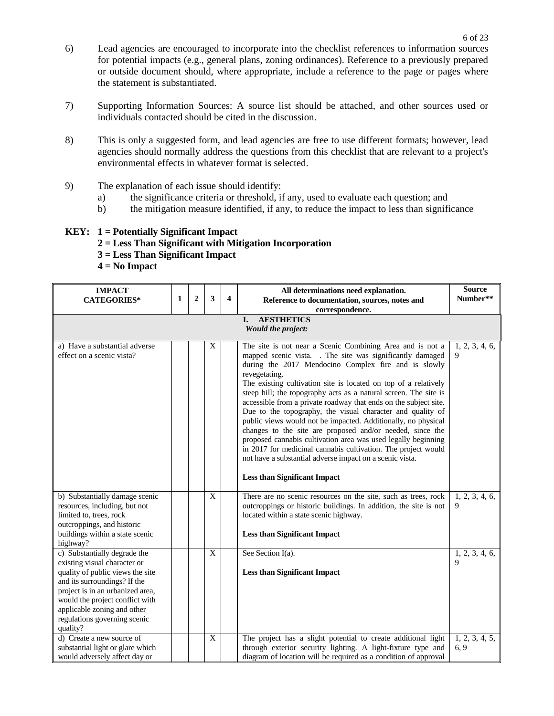- 6) Lead agencies are encouraged to incorporate into the checklist references to information sources for potential impacts (e.g., general plans, zoning ordinances). Reference to a previously prepared or outside document should, where appropriate, include a reference to the page or pages where the statement is substantiated.
- 7) Supporting Information Sources: A source list should be attached, and other sources used or individuals contacted should be cited in the discussion.
- 8) This is only a suggested form, and lead agencies are free to use different formats; however, lead agencies should normally address the questions from this checklist that are relevant to a project's environmental effects in whatever format is selected.
- 9) The explanation of each issue should identify:
	- a) the significance criteria or threshold, if any, used to evaluate each question; and
	- b) the mitigation measure identified, if any, to reduce the impact to less than significance

## **KEY: 1 = Potentially Significant Impact**

- **2 = Less Than Significant with Mitigation Incorporation**
- **3 = Less Than Significant Impact**
- **4 = No Impact**

| <b>IMPACT</b><br><b>CATEGORIES*</b>                                                                                                                                                                                                                                                | $\mathbf{1}$ | $\overline{2}$ | 3                | $\overline{\mathbf{4}}$ | All determinations need explanation.<br>Reference to documentation, sources, notes and                                                                                                                                                                                                                                                                                                                                                                                                                                                                                                                                                                                                                                                                                                                                                      | <b>Source</b><br>Number**     |  |  |  |  |  |  |
|------------------------------------------------------------------------------------------------------------------------------------------------------------------------------------------------------------------------------------------------------------------------------------|--------------|----------------|------------------|-------------------------|---------------------------------------------------------------------------------------------------------------------------------------------------------------------------------------------------------------------------------------------------------------------------------------------------------------------------------------------------------------------------------------------------------------------------------------------------------------------------------------------------------------------------------------------------------------------------------------------------------------------------------------------------------------------------------------------------------------------------------------------------------------------------------------------------------------------------------------------|-------------------------------|--|--|--|--|--|--|
|                                                                                                                                                                                                                                                                                    |              |                |                  |                         | correspondence.                                                                                                                                                                                                                                                                                                                                                                                                                                                                                                                                                                                                                                                                                                                                                                                                                             |                               |  |  |  |  |  |  |
| <b>AESTHETICS</b><br>I.<br>Would the project:                                                                                                                                                                                                                                      |              |                |                  |                         |                                                                                                                                                                                                                                                                                                                                                                                                                                                                                                                                                                                                                                                                                                                                                                                                                                             |                               |  |  |  |  |  |  |
| a) Have a substantial adverse<br>effect on a scenic vista?                                                                                                                                                                                                                         |              |                | X                |                         | The site is not near a Scenic Combining Area and is not a<br>mapped scenic vista. . The site was significantly damaged<br>during the 2017 Mendocino Complex fire and is slowly<br>revegetating.<br>The existing cultivation site is located on top of a relatively<br>steep hill; the topography acts as a natural screen. The site is<br>accessible from a private roadway that ends on the subject site.<br>Due to the topography, the visual character and quality of<br>public views would not be impacted. Additionally, no physical<br>changes to the site are proposed and/or needed, since the<br>proposed cannabis cultivation area was used legally beginning<br>in 2017 for medicinal cannabis cultivation. The project would<br>not have a substantial adverse impact on a scenic vista.<br><b>Less than Significant Impact</b> | 1, 2, 3, 4, 6,<br>9           |  |  |  |  |  |  |
| b) Substantially damage scenic<br>resources, including, but not<br>limited to, trees, rock<br>outcroppings, and historic<br>buildings within a state scenic<br>highway?                                                                                                            |              |                | $\mathbf X$      |                         | There are no scenic resources on the site, such as trees, rock<br>outcroppings or historic buildings. In addition, the site is not<br>located within a state scenic highway.<br><b>Less than Significant Impact</b>                                                                                                                                                                                                                                                                                                                                                                                                                                                                                                                                                                                                                         | 1, 2, 3, 4, 6,<br>9           |  |  |  |  |  |  |
| c) Substantially degrade the<br>existing visual character or<br>quality of public views the site<br>and its surroundings? If the<br>project is in an urbanized area,<br>would the project conflict with<br>applicable zoning and other<br>regulations governing scenic<br>quality? |              |                | $\mathbf X$      |                         | See Section I(a).<br><b>Less than Significant Impact</b>                                                                                                                                                                                                                                                                                                                                                                                                                                                                                                                                                                                                                                                                                                                                                                                    | 1, 2, 3, 4, 6,<br>$\mathbf Q$ |  |  |  |  |  |  |
| d) Create a new source of<br>substantial light or glare which<br>would adversely affect day or                                                                                                                                                                                     |              |                | $\boldsymbol{X}$ |                         | The project has a slight potential to create additional light<br>through exterior security lighting. A light-fixture type and<br>diagram of location will be required as a condition of approval                                                                                                                                                                                                                                                                                                                                                                                                                                                                                                                                                                                                                                            | 1, 2, 3, 4, 5,<br>6.9         |  |  |  |  |  |  |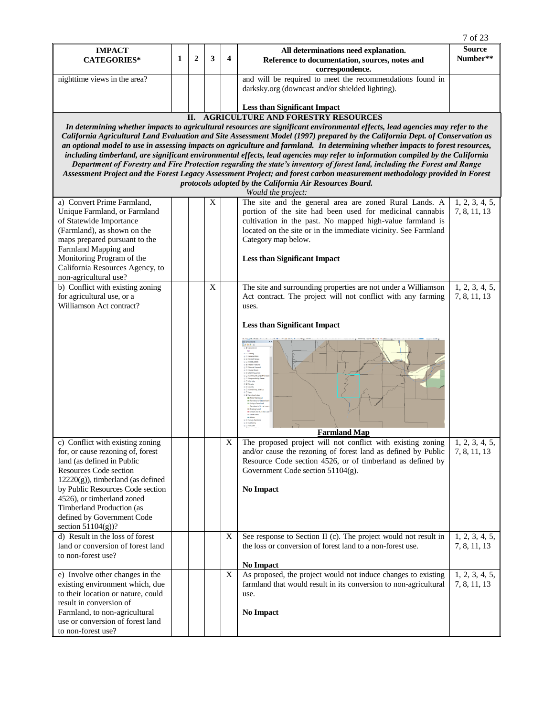|                                                                                                                                                                                                                                                                                                                                                                                                                                                                                                                                                                                                                                                                                                                                                                                                                                                                                |   |              |             |                         |                                                                                                                              | 7 of 23                        |  |  |  |  |  |  |
|--------------------------------------------------------------------------------------------------------------------------------------------------------------------------------------------------------------------------------------------------------------------------------------------------------------------------------------------------------------------------------------------------------------------------------------------------------------------------------------------------------------------------------------------------------------------------------------------------------------------------------------------------------------------------------------------------------------------------------------------------------------------------------------------------------------------------------------------------------------------------------|---|--------------|-------------|-------------------------|------------------------------------------------------------------------------------------------------------------------------|--------------------------------|--|--|--|--|--|--|
| <b>IMPACT</b><br><b>CATEGORIES*</b>                                                                                                                                                                                                                                                                                                                                                                                                                                                                                                                                                                                                                                                                                                                                                                                                                                            | 1 | $\mathbf{2}$ | 3           | $\overline{\mathbf{4}}$ | All determinations need explanation.<br>Reference to documentation, sources, notes and<br>correspondence.                    | <b>Source</b><br>Number**      |  |  |  |  |  |  |
| nighttime views in the area?                                                                                                                                                                                                                                                                                                                                                                                                                                                                                                                                                                                                                                                                                                                                                                                                                                                   |   |              |             |                         | and will be required to meet the recommendations found in<br>darksky.org (downcast and/or shielded lighting).                |                                |  |  |  |  |  |  |
|                                                                                                                                                                                                                                                                                                                                                                                                                                                                                                                                                                                                                                                                                                                                                                                                                                                                                |   |              |             |                         | <b>Less than Significant Impact</b>                                                                                          |                                |  |  |  |  |  |  |
| II. AGRICULTURE AND FORESTRY RESOURCES                                                                                                                                                                                                                                                                                                                                                                                                                                                                                                                                                                                                                                                                                                                                                                                                                                         |   |              |             |                         |                                                                                                                              |                                |  |  |  |  |  |  |
| In determining whether impacts to agricultural resources are significant environmental effects, lead agencies may refer to the<br>California Agricultural Land Evaluation and Site Assessment Model (1997) prepared by the California Dept. of Conservation as<br>an optional model to use in assessing impacts on agriculture and farmland. In determining whether impacts to forest resources,<br>including timberland, are significant environmental effects, lead agencies may refer to information compiled by the California<br>Department of Forestry and Fire Protection regarding the state's inventory of forest land, including the Forest and Range<br>Assessment Project and the Forest Legacy Assessment Project; and forest carbon measurement methodology provided in Forest<br>protocols adopted by the California Air Resources Board.<br>Would the project: |   |              |             |                         |                                                                                                                              |                                |  |  |  |  |  |  |
| a) Convert Prime Farmland,                                                                                                                                                                                                                                                                                                                                                                                                                                                                                                                                                                                                                                                                                                                                                                                                                                                     |   |              | $\mathbf X$ |                         | The site and the general area are zoned Rural Lands. A                                                                       | 1, 2, 3, 4, 5,                 |  |  |  |  |  |  |
| Unique Farmland, or Farmland                                                                                                                                                                                                                                                                                                                                                                                                                                                                                                                                                                                                                                                                                                                                                                                                                                                   |   |              |             |                         | portion of the site had been used for medicinal cannabis                                                                     | 7, 8, 11, 13                   |  |  |  |  |  |  |
| of Statewide Importance                                                                                                                                                                                                                                                                                                                                                                                                                                                                                                                                                                                                                                                                                                                                                                                                                                                        |   |              |             |                         | cultivation in the past. No mapped high-value farmland is                                                                    |                                |  |  |  |  |  |  |
| (Farmland), as shown on the                                                                                                                                                                                                                                                                                                                                                                                                                                                                                                                                                                                                                                                                                                                                                                                                                                                    |   |              |             |                         | located on the site or in the immediate vicinity. See Farmland                                                               |                                |  |  |  |  |  |  |
| maps prepared pursuant to the<br>Farmland Mapping and                                                                                                                                                                                                                                                                                                                                                                                                                                                                                                                                                                                                                                                                                                                                                                                                                          |   |              |             |                         | Category map below.                                                                                                          |                                |  |  |  |  |  |  |
| Monitoring Program of the<br>California Resources Agency, to<br>non-agricultural use?                                                                                                                                                                                                                                                                                                                                                                                                                                                                                                                                                                                                                                                                                                                                                                                          |   |              |             |                         | <b>Less than Significant Impact</b>                                                                                          |                                |  |  |  |  |  |  |
| b) Conflict with existing zoning                                                                                                                                                                                                                                                                                                                                                                                                                                                                                                                                                                                                                                                                                                                                                                                                                                               |   |              | X           |                         | The site and surrounding properties are not under a Williamson                                                               | 1, 2, 3, 4, 5,                 |  |  |  |  |  |  |
| for agricultural use, or a<br>Williamson Act contract?                                                                                                                                                                                                                                                                                                                                                                                                                                                                                                                                                                                                                                                                                                                                                                                                                         |   |              |             |                         | Act contract. The project will not conflict with any farming<br>uses.                                                        | 7, 8, 11, 13                   |  |  |  |  |  |  |
|                                                                                                                                                                                                                                                                                                                                                                                                                                                                                                                                                                                                                                                                                                                                                                                                                                                                                |   |              |             |                         | <b>Less than Significant Impact</b>                                                                                          |                                |  |  |  |  |  |  |
|                                                                                                                                                                                                                                                                                                                                                                                                                                                                                                                                                                                                                                                                                                                                                                                                                                                                                |   |              |             |                         |                                                                                                                              |                                |  |  |  |  |  |  |
|                                                                                                                                                                                                                                                                                                                                                                                                                                                                                                                                                                                                                                                                                                                                                                                                                                                                                |   |              |             |                         | <b>Farmland Map</b>                                                                                                          |                                |  |  |  |  |  |  |
| c) Conflict with existing zoning<br>for, or cause rezoning of, forest                                                                                                                                                                                                                                                                                                                                                                                                                                                                                                                                                                                                                                                                                                                                                                                                          |   |              |             | X                       | The proposed project will not conflict with existing zoning<br>and/or cause the rezoning of forest land as defined by Public | 1, 2, 3, 4, 5,<br>7, 8, 11, 13 |  |  |  |  |  |  |
| land (as defined in Public                                                                                                                                                                                                                                                                                                                                                                                                                                                                                                                                                                                                                                                                                                                                                                                                                                                     |   |              |             |                         | Resource Code section 4526, or of timberland as defined by                                                                   |                                |  |  |  |  |  |  |
| Resources Code section                                                                                                                                                                                                                                                                                                                                                                                                                                                                                                                                                                                                                                                                                                                                                                                                                                                         |   |              |             |                         | Government Code section 51104(g).                                                                                            |                                |  |  |  |  |  |  |
| $12220(g)$ , timberland (as defined                                                                                                                                                                                                                                                                                                                                                                                                                                                                                                                                                                                                                                                                                                                                                                                                                                            |   |              |             |                         |                                                                                                                              |                                |  |  |  |  |  |  |
| by Public Resources Code section<br>4526), or timberland zoned                                                                                                                                                                                                                                                                                                                                                                                                                                                                                                                                                                                                                                                                                                                                                                                                                 |   |              |             |                         | <b>No Impact</b>                                                                                                             |                                |  |  |  |  |  |  |
| Timberland Production (as                                                                                                                                                                                                                                                                                                                                                                                                                                                                                                                                                                                                                                                                                                                                                                                                                                                      |   |              |             |                         |                                                                                                                              |                                |  |  |  |  |  |  |
| defined by Government Code                                                                                                                                                                                                                                                                                                                                                                                                                                                                                                                                                                                                                                                                                                                                                                                                                                                     |   |              |             |                         |                                                                                                                              |                                |  |  |  |  |  |  |
| section 51104(g))?                                                                                                                                                                                                                                                                                                                                                                                                                                                                                                                                                                                                                                                                                                                                                                                                                                                             |   |              |             |                         |                                                                                                                              |                                |  |  |  |  |  |  |
| d) Result in the loss of forest                                                                                                                                                                                                                                                                                                                                                                                                                                                                                                                                                                                                                                                                                                                                                                                                                                                |   |              |             | X                       | See response to Section II (c). The project would not result in                                                              | 1, 2, 3, 4, 5,                 |  |  |  |  |  |  |
| land or conversion of forest land<br>to non-forest use?                                                                                                                                                                                                                                                                                                                                                                                                                                                                                                                                                                                                                                                                                                                                                                                                                        |   |              |             |                         | the loss or conversion of forest land to a non-forest use.                                                                   | 7, 8, 11, 13                   |  |  |  |  |  |  |
|                                                                                                                                                                                                                                                                                                                                                                                                                                                                                                                                                                                                                                                                                                                                                                                                                                                                                |   |              |             |                         | <b>No Impact</b>                                                                                                             |                                |  |  |  |  |  |  |
| e) Involve other changes in the                                                                                                                                                                                                                                                                                                                                                                                                                                                                                                                                                                                                                                                                                                                                                                                                                                                |   |              |             | X                       | As proposed, the project would not induce changes to existing                                                                | 1, 2, 3, 4, 5,                 |  |  |  |  |  |  |
| existing environment which, due                                                                                                                                                                                                                                                                                                                                                                                                                                                                                                                                                                                                                                                                                                                                                                                                                                                |   |              |             |                         | farmland that would result in its conversion to non-agricultural                                                             | 7, 8, 11, 13                   |  |  |  |  |  |  |
| to their location or nature, could                                                                                                                                                                                                                                                                                                                                                                                                                                                                                                                                                                                                                                                                                                                                                                                                                                             |   |              |             |                         | use.                                                                                                                         |                                |  |  |  |  |  |  |
| result in conversion of<br>Farmland, to non-agricultural                                                                                                                                                                                                                                                                                                                                                                                                                                                                                                                                                                                                                                                                                                                                                                                                                       |   |              |             |                         | No Impact                                                                                                                    |                                |  |  |  |  |  |  |
| use or conversion of forest land                                                                                                                                                                                                                                                                                                                                                                                                                                                                                                                                                                                                                                                                                                                                                                                                                                               |   |              |             |                         |                                                                                                                              |                                |  |  |  |  |  |  |
| to non-forest use?                                                                                                                                                                                                                                                                                                                                                                                                                                                                                                                                                                                                                                                                                                                                                                                                                                                             |   |              |             |                         |                                                                                                                              |                                |  |  |  |  |  |  |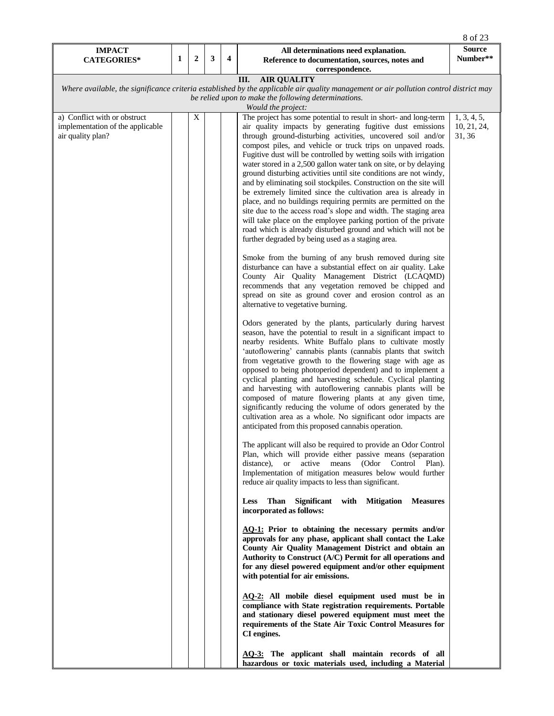|                                     |   |                  |              |                         |                                                                                                                                                                     | 8 of 23                   |
|-------------------------------------|---|------------------|--------------|-------------------------|---------------------------------------------------------------------------------------------------------------------------------------------------------------------|---------------------------|
| <b>IMPACT</b><br><b>CATEGORIES*</b> | 1 | $\boldsymbol{2}$ | $\mathbf{3}$ | $\overline{\mathbf{4}}$ | All determinations need explanation.<br>Reference to documentation, sources, notes and                                                                              | <b>Source</b><br>Number** |
|                                     |   |                  |              |                         | correspondence.                                                                                                                                                     |                           |
|                                     |   |                  |              |                         | <b>AIR QUALITY</b><br>III.<br>Where available, the significance criteria established by the applicable air quality management or air pollution control district may |                           |
|                                     |   |                  |              |                         | be relied upon to make the following determinations.                                                                                                                |                           |
|                                     |   |                  |              |                         | Would the project:                                                                                                                                                  |                           |
| a) Conflict with or obstruct        |   | $\mathbf X$      |              |                         | The project has some potential to result in short- and long-term                                                                                                    | 1, 3, 4, 5,               |
| implementation of the applicable    |   |                  |              |                         | air quality impacts by generating fugitive dust emissions                                                                                                           | 10, 21, 24,               |
| air quality plan?                   |   |                  |              |                         | through ground-disturbing activities, uncovered soil and/or<br>compost piles, and vehicle or truck trips on unpaved roads.                                          | 31, 36                    |
|                                     |   |                  |              |                         | Fugitive dust will be controlled by wetting soils with irrigation                                                                                                   |                           |
|                                     |   |                  |              |                         | water stored in a 2,500 gallon water tank on site, or by delaying                                                                                                   |                           |
|                                     |   |                  |              |                         | ground disturbing activities until site conditions are not windy,<br>and by eliminating soil stockpiles. Construction on the site will                              |                           |
|                                     |   |                  |              |                         | be extremely limited since the cultivation area is already in                                                                                                       |                           |
|                                     |   |                  |              |                         | place, and no buildings requiring permits are permitted on the                                                                                                      |                           |
|                                     |   |                  |              |                         | site due to the access road's slope and width. The staging area                                                                                                     |                           |
|                                     |   |                  |              |                         | will take place on the employee parking portion of the private<br>road which is already disturbed ground and which will not be                                      |                           |
|                                     |   |                  |              |                         | further degraded by being used as a staging area.                                                                                                                   |                           |
|                                     |   |                  |              |                         |                                                                                                                                                                     |                           |
|                                     |   |                  |              |                         | Smoke from the burning of any brush removed during site                                                                                                             |                           |
|                                     |   |                  |              |                         | disturbance can have a substantial effect on air quality. Lake<br>County Air Quality Management District (LCAQMD)                                                   |                           |
|                                     |   |                  |              |                         | recommends that any vegetation removed be chipped and                                                                                                               |                           |
|                                     |   |                  |              |                         | spread on site as ground cover and erosion control as an                                                                                                            |                           |
|                                     |   |                  |              |                         | alternative to vegetative burning.                                                                                                                                  |                           |
|                                     |   |                  |              |                         | Odors generated by the plants, particularly during harvest                                                                                                          |                           |
|                                     |   |                  |              |                         | season, have the potential to result in a significant impact to                                                                                                     |                           |
|                                     |   |                  |              |                         | nearby residents. White Buffalo plans to cultivate mostly                                                                                                           |                           |
|                                     |   |                  |              |                         | 'autoflowering' cannabis plants (cannabis plants that switch<br>from vegetative growth to the flowering stage with age as                                           |                           |
|                                     |   |                  |              |                         | opposed to being photoperiod dependent) and to implement a                                                                                                          |                           |
|                                     |   |                  |              |                         | cyclical planting and harvesting schedule. Cyclical planting                                                                                                        |                           |
|                                     |   |                  |              |                         | and harvesting with autoflowering cannabis plants will be<br>composed of mature flowering plants at any given time,                                                 |                           |
|                                     |   |                  |              |                         | significantly reducing the volume of odors generated by the                                                                                                         |                           |
|                                     |   |                  |              |                         | cultivation area as a whole. No significant odor impacts are                                                                                                        |                           |
|                                     |   |                  |              |                         | anticipated from this proposed cannabis operation.                                                                                                                  |                           |
|                                     |   |                  |              |                         | The applicant will also be required to provide an Odor Control                                                                                                      |                           |
|                                     |   |                  |              |                         | Plan, which will provide either passive means (separation                                                                                                           |                           |
|                                     |   |                  |              |                         | <sub>or</sub><br>active means (Odor<br>Control Plan).<br>distance).                                                                                                 |                           |
|                                     |   |                  |              |                         | Implementation of mitigation measures below would further<br>reduce air quality impacts to less than significant.                                                   |                           |
|                                     |   |                  |              |                         |                                                                                                                                                                     |                           |
|                                     |   |                  |              |                         | Less Than Significant with Mitigation<br><b>Measures</b>                                                                                                            |                           |
|                                     |   |                  |              |                         | incorporated as follows:                                                                                                                                            |                           |
|                                     |   |                  |              |                         | AQ-1: Prior to obtaining the necessary permits and/or                                                                                                               |                           |
|                                     |   |                  |              |                         | approvals for any phase, applicant shall contact the Lake                                                                                                           |                           |
|                                     |   |                  |              |                         | County Air Quality Management District and obtain an<br>Authority to Construct (A/C) Permit for all operations and                                                  |                           |
|                                     |   |                  |              |                         | for any diesel powered equipment and/or other equipment                                                                                                             |                           |
|                                     |   |                  |              |                         | with potential for air emissions.                                                                                                                                   |                           |
|                                     |   |                  |              |                         | AQ-2: All mobile diesel equipment used must be in                                                                                                                   |                           |
|                                     |   |                  |              |                         | compliance with State registration requirements. Portable                                                                                                           |                           |
|                                     |   |                  |              |                         | and stationary diesel powered equipment must meet the                                                                                                               |                           |
|                                     |   |                  |              |                         | requirements of the State Air Toxic Control Measures for<br>CI engines.                                                                                             |                           |
|                                     |   |                  |              |                         |                                                                                                                                                                     |                           |
|                                     |   |                  |              |                         | AQ-3: The applicant shall maintain records of all                                                                                                                   |                           |
|                                     |   |                  |              |                         | hazardous or toxic materials used, including a Material                                                                                                             |                           |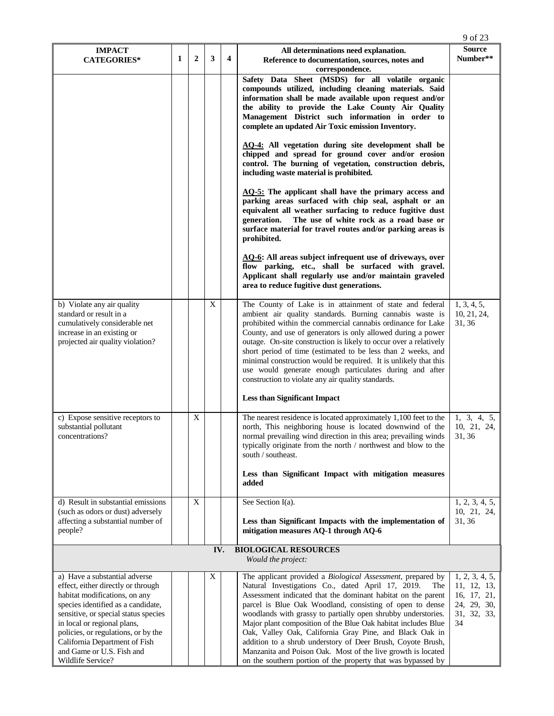|                                                                                                                                                                                                                                                                                                                                             |   |                |                           |                         |                                                                                                                                                                                                                                                                                                                                                                                                                                                                                                                                                                                                                                                 | 9 of 23                                                                          |
|---------------------------------------------------------------------------------------------------------------------------------------------------------------------------------------------------------------------------------------------------------------------------------------------------------------------------------------------|---|----------------|---------------------------|-------------------------|-------------------------------------------------------------------------------------------------------------------------------------------------------------------------------------------------------------------------------------------------------------------------------------------------------------------------------------------------------------------------------------------------------------------------------------------------------------------------------------------------------------------------------------------------------------------------------------------------------------------------------------------------|----------------------------------------------------------------------------------|
| <b>IMPACT</b><br><b>CATEGORIES*</b>                                                                                                                                                                                                                                                                                                         | 1 | $\overline{2}$ | 3                         | $\overline{\mathbf{4}}$ | All determinations need explanation.<br>Reference to documentation, sources, notes and<br>correspondence.                                                                                                                                                                                                                                                                                                                                                                                                                                                                                                                                       | <b>Source</b><br>Number**                                                        |
|                                                                                                                                                                                                                                                                                                                                             |   |                |                           |                         | Safety Data Sheet (MSDS) for all volatile organic<br>compounds utilized, including cleaning materials. Said<br>information shall be made available upon request and/or<br>the ability to provide the Lake County Air Quality<br>Management District such information in order to<br>complete an updated Air Toxic emission Inventory.                                                                                                                                                                                                                                                                                                           |                                                                                  |
|                                                                                                                                                                                                                                                                                                                                             |   |                |                           |                         | AQ-4: All vegetation during site development shall be<br>chipped and spread for ground cover and/or erosion<br>control. The burning of vegetation, construction debris,<br>including waste material is prohibited.                                                                                                                                                                                                                                                                                                                                                                                                                              |                                                                                  |
|                                                                                                                                                                                                                                                                                                                                             |   |                |                           |                         | $\Delta Q$ -5: The applicant shall have the primary access and<br>parking areas surfaced with chip seal, asphalt or an<br>equivalent all weather surfacing to reduce fugitive dust<br>generation.<br>The use of white rock as a road base or<br>surface material for travel routes and/or parking areas is<br>prohibited.                                                                                                                                                                                                                                                                                                                       |                                                                                  |
|                                                                                                                                                                                                                                                                                                                                             |   |                |                           |                         | <b>AQ-6:</b> All areas subject infrequent use of driveways, over<br>flow parking, etc., shall be surfaced with gravel.<br>Applicant shall regularly use and/or maintain graveled<br>area to reduce fugitive dust generations.                                                                                                                                                                                                                                                                                                                                                                                                                   |                                                                                  |
| b) Violate any air quality<br>standard or result in a<br>cumulatively considerable net<br>increase in an existing or<br>projected air quality violation?                                                                                                                                                                                    |   |                | $\boldsymbol{\mathrm{X}}$ |                         | The County of Lake is in attainment of state and federal<br>ambient air quality standards. Burning cannabis waste is<br>prohibited within the commercial cannabis ordinance for Lake<br>County, and use of generators is only allowed during a power<br>outage. On-site construction is likely to occur over a relatively<br>short period of time (estimated to be less than 2 weeks, and<br>minimal construction would be required. It is unlikely that this<br>use would generate enough particulates during and after<br>construction to violate any air quality standards.                                                                  | 1, 3, 4, 5,<br>10, 21, 24,<br>31, 36                                             |
| c) Expose sensitive receptors to<br>substantial pollutant                                                                                                                                                                                                                                                                                   |   | X              |                           |                         | <b>Less than Significant Impact</b><br>The nearest residence is located approximately 1,100 feet to the<br>north, This neighboring house is located downwind of the                                                                                                                                                                                                                                                                                                                                                                                                                                                                             | 1, 3, 4, 5,<br>10, 21, 24,                                                       |
| concentrations?                                                                                                                                                                                                                                                                                                                             |   |                |                           |                         | normal prevailing wind direction in this area; prevailing winds  <br>typically originate from the north / northwest and blow to the<br>south / southeast.                                                                                                                                                                                                                                                                                                                                                                                                                                                                                       | 31, 36                                                                           |
|                                                                                                                                                                                                                                                                                                                                             |   |                |                           |                         | Less than Significant Impact with mitigation measures<br>added                                                                                                                                                                                                                                                                                                                                                                                                                                                                                                                                                                                  |                                                                                  |
| d) Result in substantial emissions<br>(such as odors or dust) adversely<br>affecting a substantial number of<br>people?                                                                                                                                                                                                                     |   | X              |                           |                         | See Section I(a).<br>Less than Significant Impacts with the implementation of<br>mitigation measures AQ-1 through AQ-6                                                                                                                                                                                                                                                                                                                                                                                                                                                                                                                          | 1, 2, 3, 4, 5,<br>10, 21, 24,<br>31, 36                                          |
|                                                                                                                                                                                                                                                                                                                                             |   |                | IV.                       |                         | <b>BIOLOGICAL RESOURCES</b><br>Would the project:                                                                                                                                                                                                                                                                                                                                                                                                                                                                                                                                                                                               |                                                                                  |
| a) Have a substantial adverse<br>effect, either directly or through<br>habitat modifications, on any<br>species identified as a candidate,<br>sensitive, or special status species<br>in local or regional plans,<br>policies, or regulations, or by the<br>California Department of Fish<br>and Game or U.S. Fish and<br>Wildlife Service? |   |                | X                         |                         | The applicant provided a Biological Assessment, prepared by<br>Natural Investigations Co., dated April 17, 2019.<br>The<br>Assessment indicated that the dominant habitat on the parent<br>parcel is Blue Oak Woodland, consisting of open to dense<br>woodlands with grassy to partially open shrubby understories.<br>Major plant composition of the Blue Oak habitat includes Blue<br>Oak, Valley Oak, California Gray Pine, and Black Oak in<br>addition to a shrub understory of Deer Brush, Coyote Brush,<br>Manzanita and Poison Oak. Most of the live growth is located<br>on the southern portion of the property that was bypassed by | 1, 2, 3, 4, 5,<br>11, 12, 13,<br>16, 17, 21,<br>24, 29, 30,<br>31, 32, 33,<br>34 |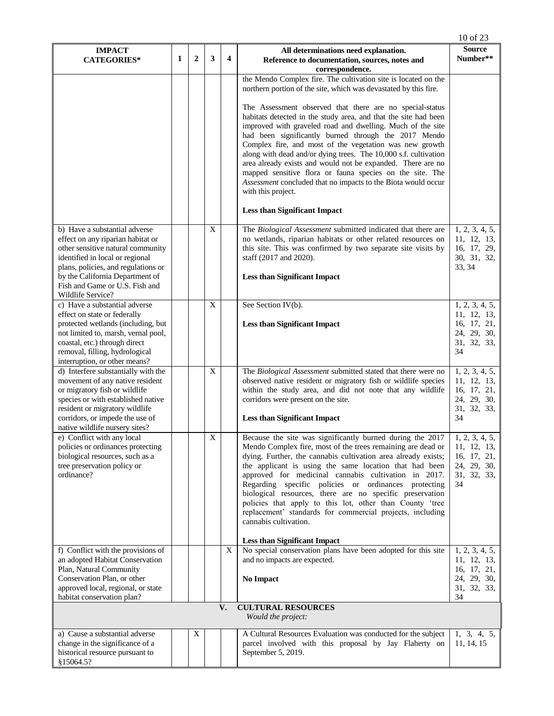|                                                                                                                                                                                                                                                        |   |                |                |                         |                                                                                                                                                                                                                                                                                                                                                                                                                                                                                                                                                                                                                          | 10 of 23                                                                         |
|--------------------------------------------------------------------------------------------------------------------------------------------------------------------------------------------------------------------------------------------------------|---|----------------|----------------|-------------------------|--------------------------------------------------------------------------------------------------------------------------------------------------------------------------------------------------------------------------------------------------------------------------------------------------------------------------------------------------------------------------------------------------------------------------------------------------------------------------------------------------------------------------------------------------------------------------------------------------------------------------|----------------------------------------------------------------------------------|
| <b>IMPACT</b><br><b>CATEGORIES*</b>                                                                                                                                                                                                                    | 1 | $\overline{2}$ | 3              | $\overline{\mathbf{4}}$ | All determinations need explanation.<br>Reference to documentation, sources, notes and<br>correspondence.                                                                                                                                                                                                                                                                                                                                                                                                                                                                                                                | <b>Source</b><br>Number**                                                        |
|                                                                                                                                                                                                                                                        |   |                |                |                         | the Mendo Complex fire. The cultivation site is located on the<br>northern portion of the site, which was devastated by this fire.                                                                                                                                                                                                                                                                                                                                                                                                                                                                                       |                                                                                  |
|                                                                                                                                                                                                                                                        |   |                |                |                         | The Assessment observed that there are no special-status<br>habitats detected in the study area, and that the site had been<br>improved with graveled road and dwelling. Much of the site<br>had been significantly burned through the 2017 Mendo<br>Complex fire, and most of the vegetation was new growth<br>along with dead and/or dying trees. The 10,000 s.f. cultivation<br>area already exists and would not be expanded. There are no<br>mapped sensitive flora or fauna species on the site. The<br>Assessment concluded that no impacts to the Biota would occur<br>with this project.                        |                                                                                  |
|                                                                                                                                                                                                                                                        |   |                |                |                         | <b>Less than Significant Impact</b>                                                                                                                                                                                                                                                                                                                                                                                                                                                                                                                                                                                      |                                                                                  |
| b) Have a substantial adverse<br>effect on any riparian habitat or<br>other sensitive natural community<br>identified in local or regional<br>plans, policies, and regulations or<br>by the California Department of<br>Fish and Game or U.S. Fish and |   |                | $\mathbf X$    |                         | The Biological Assessment submitted indicated that there are<br>no wetlands, riparian habitats or other related resources on<br>this site. This was confirmed by two separate site visits by<br>staff (2017 and 2020).<br><b>Less than Significant Impact</b>                                                                                                                                                                                                                                                                                                                                                            | 1, 2, 3, 4, 5,<br>11, 12, 13,<br>16, 17, 29,<br>30, 31, 32,<br>33, 34            |
| Wildlife Service?                                                                                                                                                                                                                                      |   |                |                |                         |                                                                                                                                                                                                                                                                                                                                                                                                                                                                                                                                                                                                                          |                                                                                  |
| c) Have a substantial adverse<br>effect on state or federally<br>protected wetlands (including, but<br>not limited to, marsh, vernal pool,<br>coastal, etc.) through direct<br>removal, filling, hydrological<br>interruption, or other means?         |   |                | $\mathbf X$    |                         | See Section IV(b).<br><b>Less than Significant Impact</b>                                                                                                                                                                                                                                                                                                                                                                                                                                                                                                                                                                | 1, 2, 3, 4, 5,<br>11, 12, 13,<br>16, 17, 21,<br>24, 29, 30,<br>31, 32, 33,<br>34 |
| d) Interfere substantially with the<br>movement of any native resident<br>or migratory fish or wildlife<br>species or with established native<br>resident or migratory wildlife<br>corridors, or impede the use of                                     |   |                | X              |                         | The Biological Assessment submitted stated that there were no<br>observed native resident or migratory fish or wildlife species<br>within the study area, and did not note that any wildlife<br>corridors were present on the site.<br><b>Less than Significant Impact</b>                                                                                                                                                                                                                                                                                                                                               | 1, 2, 3, 4, 5,<br>11, 12, 13,<br>16, 17, 21,<br>24, 29, 30,<br>31, 32, 33,<br>34 |
| native wildlife nursery sites?<br>e) Conflict with any local<br>policies or ordinances protecting<br>biological resources, such as a<br>tree preservation policy or<br>ordinance?                                                                      |   |                | $\overline{X}$ |                         | Because the site was significantly burned during the 2017<br>Mendo Complex fire, most of the trees remaining are dead or<br>dying. Further, the cannabis cultivation area already exists;<br>the applicant is using the same location that had been<br>approved for medicinal cannabis cultivation in 2017.<br>Regarding specific policies or ordinances protecting<br>biological resources, there are no specific preservation<br>policies that apply to this lot, other than County 'tree<br>replacement' standards for commercial projects, including<br>cannabis cultivation.<br><b>Less than Significant Impact</b> | 1, 2, 3, 4, 5,<br>11, 12, 13,<br>16, 17, 21,<br>24, 29, 30,<br>31, 32, 33,<br>34 |
| f) Conflict with the provisions of                                                                                                                                                                                                                     |   |                |                | X                       | No special conservation plans have been adopted for this site                                                                                                                                                                                                                                                                                                                                                                                                                                                                                                                                                            | 1, 2, 3, 4, 5,                                                                   |
| an adopted Habitat Conservation<br>Plan, Natural Community<br>Conservation Plan, or other<br>approved local, regional, or state<br>habitat conservation plan?                                                                                          |   |                |                |                         | and no impacts are expected.<br><b>No Impact</b>                                                                                                                                                                                                                                                                                                                                                                                                                                                                                                                                                                         | 11, 12, 13,<br>16, 17, 21,<br>24, 29, 30,<br>31, 32, 33,<br>34                   |
|                                                                                                                                                                                                                                                        |   |                |                | V.                      | <b>CULTURAL RESOURCES</b><br>Would the project:                                                                                                                                                                                                                                                                                                                                                                                                                                                                                                                                                                          |                                                                                  |
| a) Cause a substantial adverse<br>change in the significance of a<br>historical resource pursuant to<br>\$15064.5?                                                                                                                                     |   | X              |                |                         | A Cultural Resources Evaluation was conducted for the subject<br>parcel involved with this proposal by Jay Flaherty on<br>September 5, 2019.                                                                                                                                                                                                                                                                                                                                                                                                                                                                             | 1, 3, 4, 5,<br>11, 14, 15                                                        |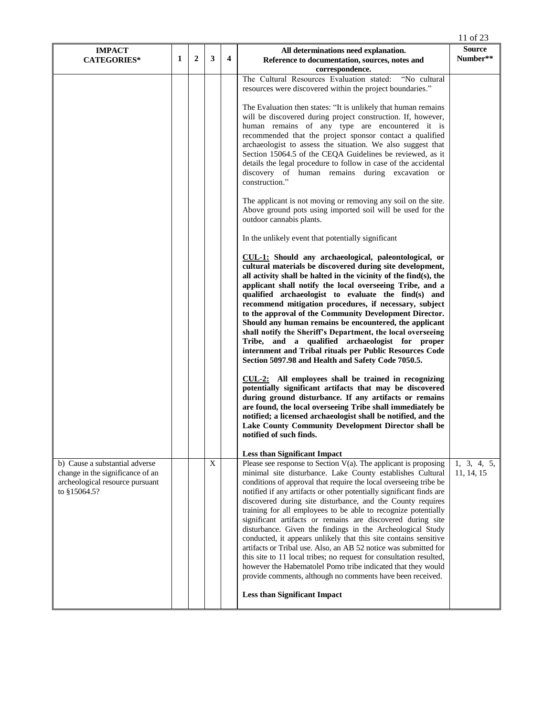|                                                                                                                       |   |              |             |   |                                                                                                                                                                                                                                                                                                                                                                                                                                                                                                                                                                                                                                                                                                                                                                                                                                                                                                                                                                                                                                                                                                                                                                                                                                                                                                                                                                                                                                                                                                                                                                                                                                                                                                                                                                                                 | 11 of 23                  |
|-----------------------------------------------------------------------------------------------------------------------|---|--------------|-------------|---|-------------------------------------------------------------------------------------------------------------------------------------------------------------------------------------------------------------------------------------------------------------------------------------------------------------------------------------------------------------------------------------------------------------------------------------------------------------------------------------------------------------------------------------------------------------------------------------------------------------------------------------------------------------------------------------------------------------------------------------------------------------------------------------------------------------------------------------------------------------------------------------------------------------------------------------------------------------------------------------------------------------------------------------------------------------------------------------------------------------------------------------------------------------------------------------------------------------------------------------------------------------------------------------------------------------------------------------------------------------------------------------------------------------------------------------------------------------------------------------------------------------------------------------------------------------------------------------------------------------------------------------------------------------------------------------------------------------------------------------------------------------------------------------------------|---------------------------|
| <b>IMPACT</b><br><b>CATEGORIES*</b>                                                                                   | 1 | $\mathbf{2}$ | 3           | 4 | All determinations need explanation.<br>Reference to documentation, sources, notes and                                                                                                                                                                                                                                                                                                                                                                                                                                                                                                                                                                                                                                                                                                                                                                                                                                                                                                                                                                                                                                                                                                                                                                                                                                                                                                                                                                                                                                                                                                                                                                                                                                                                                                          | <b>Source</b><br>Number** |
|                                                                                                                       |   |              |             |   | correspondence.<br>The Cultural Resources Evaluation stated:<br>"No cultural<br>resources were discovered within the project boundaries."<br>The Evaluation then states: "It is unlikely that human remains<br>will be discovered during project construction. If, however,<br>human remains of any type are encountered it is<br>recommended that the project sponsor contact a qualified<br>archaeologist to assess the situation. We also suggest that<br>Section 15064.5 of the CEQA Guidelines be reviewed, as it<br>details the legal procedure to follow in case of the accidental<br>discovery of human remains during excavation or<br>construction."<br>The applicant is not moving or removing any soil on the site.<br>Above ground pots using imported soil will be used for the<br>outdoor cannabis plants.<br>In the unlikely event that potentially significant<br>CUL-1: Should any archaeological, paleontological, or<br>cultural materials be discovered during site development,<br>all activity shall be halted in the vicinity of the find $(s)$ , the<br>applicant shall notify the local overseeing Tribe, and a<br>qualified archaeologist to evaluate the find(s) and<br>recommend mitigation procedures, if necessary, subject<br>to the approval of the Community Development Director.<br>Should any human remains be encountered, the applicant<br>shall notify the Sheriff's Department, the local overseeing<br>Tribe, and a qualified archaeologist for proper<br>internment and Tribal rituals per Public Resources Code<br>Section 5097.98 and Health and Safety Code 7050.5.<br>CUL-2: All employees shall be trained in recognizing<br>potentially significant artifacts that may be discovered<br>during ground disturbance. If any artifacts or remains |                           |
|                                                                                                                       |   |              |             |   | are found, the local overseeing Tribe shall immediately be<br>notified; a licensed archaeologist shall be notified, and the<br>Lake County Community Development Director shall be<br>notified of such finds.                                                                                                                                                                                                                                                                                                                                                                                                                                                                                                                                                                                                                                                                                                                                                                                                                                                                                                                                                                                                                                                                                                                                                                                                                                                                                                                                                                                                                                                                                                                                                                                   |                           |
| b) Cause a substantial adverse<br>change in the significance of an<br>archeological resource pursuant<br>to §15064.5? |   |              | $\mathbf X$ |   | <b>Less than Significant Impact</b><br>Please see response to Section $V(a)$ . The applicant is proposing<br>minimal site disturbance. Lake County establishes Cultural<br>conditions of approval that require the local overseeing tribe be<br>notified if any artifacts or other potentially significant finds are<br>discovered during site disturbance, and the County requires<br>training for all employees to be able to recognize potentially<br>significant artifacts or remains are discovered during site<br>disturbance. Given the findings in the Archeological Study<br>conducted, it appears unlikely that this site contains sensitive<br>artifacts or Tribal use. Also, an AB 52 notice was submitted for<br>this site to 11 local tribes; no request for consultation resulted,<br>however the Habematolel Pomo tribe indicated that they would<br>provide comments, although no comments have been received.<br><b>Less than Significant Impact</b>                                                                                                                                                                                                                                                                                                                                                                                                                                                                                                                                                                                                                                                                                                                                                                                                                          | 1, 3, 4, 5,<br>11, 14, 15 |
|                                                                                                                       |   |              |             |   |                                                                                                                                                                                                                                                                                                                                                                                                                                                                                                                                                                                                                                                                                                                                                                                                                                                                                                                                                                                                                                                                                                                                                                                                                                                                                                                                                                                                                                                                                                                                                                                                                                                                                                                                                                                                 |                           |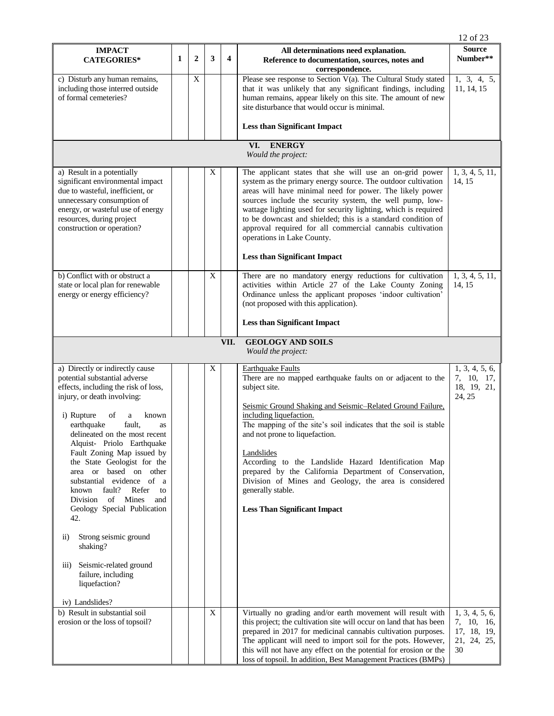|                                                                                                                                                                                                                                                                                                                                                                                                                                                                                                                                                                                                                                                                       |   |                |   |                         |                                                                                                                                                                                                                                                                                                                                                                                                                                                                                                                                                              | 12 of 23                                                         |  |  |  |  |  |  |
|-----------------------------------------------------------------------------------------------------------------------------------------------------------------------------------------------------------------------------------------------------------------------------------------------------------------------------------------------------------------------------------------------------------------------------------------------------------------------------------------------------------------------------------------------------------------------------------------------------------------------------------------------------------------------|---|----------------|---|-------------------------|--------------------------------------------------------------------------------------------------------------------------------------------------------------------------------------------------------------------------------------------------------------------------------------------------------------------------------------------------------------------------------------------------------------------------------------------------------------------------------------------------------------------------------------------------------------|------------------------------------------------------------------|--|--|--|--|--|--|
| <b>IMPACT</b><br><b>CATEGORIES*</b>                                                                                                                                                                                                                                                                                                                                                                                                                                                                                                                                                                                                                                   | 1 | $\overline{2}$ | 3 | $\overline{\mathbf{4}}$ | All determinations need explanation.<br>Reference to documentation, sources, notes and<br>correspondence.                                                                                                                                                                                                                                                                                                                                                                                                                                                    | <b>Source</b><br>Number**                                        |  |  |  |  |  |  |
| c) Disturb any human remains,<br>including those interred outside<br>of formal cemeteries?                                                                                                                                                                                                                                                                                                                                                                                                                                                                                                                                                                            |   | X              |   |                         | Please see response to Section V(a). The Cultural Study stated<br>that it was unlikely that any significant findings, including<br>human remains, appear likely on this site. The amount of new<br>site disturbance that would occur is minimal.                                                                                                                                                                                                                                                                                                             | 1, 3, 4, 5,<br>11, 14, 15                                        |  |  |  |  |  |  |
|                                                                                                                                                                                                                                                                                                                                                                                                                                                                                                                                                                                                                                                                       |   |                |   |                         | <b>Less than Significant Impact</b>                                                                                                                                                                                                                                                                                                                                                                                                                                                                                                                          |                                                                  |  |  |  |  |  |  |
| <b>ENERGY</b><br>VI.<br>Would the project:                                                                                                                                                                                                                                                                                                                                                                                                                                                                                                                                                                                                                            |   |                |   |                         |                                                                                                                                                                                                                                                                                                                                                                                                                                                                                                                                                              |                                                                  |  |  |  |  |  |  |
| a) Result in a potentially<br>significant environmental impact<br>due to wasteful, inefficient, or<br>unnecessary consumption of<br>energy, or wasteful use of energy<br>resources, during project<br>construction or operation?                                                                                                                                                                                                                                                                                                                                                                                                                                      |   |                | X |                         | The applicant states that she will use an on-grid power<br>system as the primary energy source. The outdoor cultivation<br>areas will have minimal need for power. The likely power<br>sources include the security system, the well pump, low-<br>wattage lighting used for security lighting, which is required<br>to be downcast and shielded; this is a standard condition of<br>approval required for all commercial cannabis cultivation<br>operations in Lake County.<br><b>Less than Significant Impact</b>                                          | 1, 3, 4, 5, 11,<br>14, 15                                        |  |  |  |  |  |  |
| b) Conflict with or obstruct a<br>state or local plan for renewable<br>energy or energy efficiency?                                                                                                                                                                                                                                                                                                                                                                                                                                                                                                                                                                   |   |                | X |                         | There are no mandatory energy reductions for cultivation<br>activities within Article 27 of the Lake County Zoning<br>Ordinance unless the applicant proposes 'indoor cultivation'<br>(not proposed with this application).<br><b>Less than Significant Impact</b>                                                                                                                                                                                                                                                                                           | 1, 3, 4, 5, 11,<br>14.15                                         |  |  |  |  |  |  |
|                                                                                                                                                                                                                                                                                                                                                                                                                                                                                                                                                                                                                                                                       |   |                |   | VII.                    | <b>GEOLOGY AND SOILS</b><br>Would the project:                                                                                                                                                                                                                                                                                                                                                                                                                                                                                                               |                                                                  |  |  |  |  |  |  |
| a) Directly or indirectly cause<br>potential substantial adverse<br>effects, including the risk of loss,<br>injury, or death involving:<br>i) Rupture<br>of<br>a<br>known<br>earthquake<br>fault,<br>as<br>delineated on the most recent<br>Alquist- Priolo Earthquake<br>Fault Zoning Map issued by<br>the State Geologist for the<br>area or based on other<br>substantial evidence of a<br>fault?<br>Refer<br>known<br>to<br>of Mines<br>Division<br>and<br>Geology Special Publication<br>42.<br>Strong seismic ground<br>$\overline{11}$ )<br>shaking?<br>Seismic-related ground<br>$\overline{111}$ )<br>failure, including<br>liquefaction?<br>iv) Landslides? |   |                | X |                         | <b>Earthquake Faults</b><br>There are no mapped earthquake faults on or adjacent to the<br>subject site.<br>Seismic Ground Shaking and Seismic-Related Ground Failure,<br>including liquefaction.<br>The mapping of the site's soil indicates that the soil is stable<br>and not prone to liquefaction.<br>Landslides<br>According to the Landslide Hazard Identification Map<br>prepared by the California Department of Conservation,<br>Division of Mines and Geology, the area is considered<br>generally stable.<br><b>Less Than Significant Impact</b> | 1, 3, 4, 5, 6,<br>7, 10, 17,<br>18, 19, 21,<br>24, 25            |  |  |  |  |  |  |
| b) Result in substantial soil<br>erosion or the loss of topsoil?                                                                                                                                                                                                                                                                                                                                                                                                                                                                                                                                                                                                      |   |                | X |                         | Virtually no grading and/or earth movement will result with<br>this project; the cultivation site will occur on land that has been<br>prepared in 2017 for medicinal cannabis cultivation purposes.<br>The applicant will need to import soil for the pots. However,<br>this will not have any effect on the potential for erosion or the<br>loss of topsoil. In addition, Best Management Practices (BMPs)                                                                                                                                                  | 1, 3, 4, 5, 6,<br>7, 10, 16,<br>17, 18, 19,<br>21, 24, 25,<br>30 |  |  |  |  |  |  |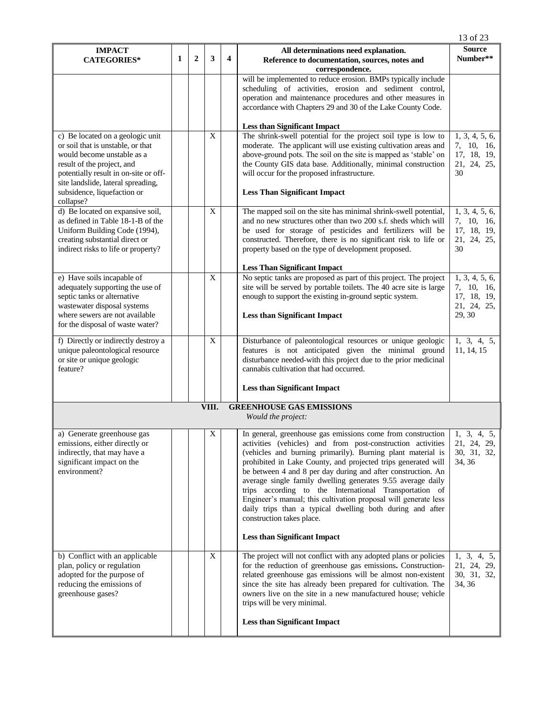| 1 | $\overline{2}$ | 3 |                                                    | All determinations need explanation.                                                                                                                                                                                                                                                                                                                                                                                                                                                                                                              | <b>Source</b>                                                                                                                                                                                                                                                                                                            |
|---|----------------|---|----------------------------------------------------|---------------------------------------------------------------------------------------------------------------------------------------------------------------------------------------------------------------------------------------------------------------------------------------------------------------------------------------------------------------------------------------------------------------------------------------------------------------------------------------------------------------------------------------------------|--------------------------------------------------------------------------------------------------------------------------------------------------------------------------------------------------------------------------------------------------------------------------------------------------------------------------|
|   |                |   | $\boldsymbol{4}$                                   | Reference to documentation, sources, notes and<br>correspondence.                                                                                                                                                                                                                                                                                                                                                                                                                                                                                 | Number**                                                                                                                                                                                                                                                                                                                 |
|   |                |   |                                                    | will be implemented to reduce erosion. BMPs typically include<br>scheduling of activities, erosion and sediment control,<br>operation and maintenance procedures and other measures in<br>accordance with Chapters 29 and 30 of the Lake County Code.                                                                                                                                                                                                                                                                                             |                                                                                                                                                                                                                                                                                                                          |
|   |                |   |                                                    | <b>Less than Significant Impact</b>                                                                                                                                                                                                                                                                                                                                                                                                                                                                                                               |                                                                                                                                                                                                                                                                                                                          |
|   |                |   |                                                    | moderate. The applicant will use existing cultivation areas and<br>above-ground pots. The soil on the site is mapped as 'stable' on<br>the County GIS data base. Additionally, minimal construction<br>will occur for the proposed infrastructure.<br><b>Less Than Significant Impact</b>                                                                                                                                                                                                                                                         | 1, 3, 4, 5, 6,<br>7, 10, 16,<br>17, 18, 19,<br>21, 24, 25,<br>30                                                                                                                                                                                                                                                         |
|   |                | X |                                                    | The mapped soil on the site has minimal shrink-swell potential,<br>and no new structures other than two 200 s.f. sheds which will<br>be used for storage of pesticides and fertilizers will be<br>constructed. Therefore, there is no significant risk to life or<br>property based on the type of development proposed.                                                                                                                                                                                                                          | 1, 3, 4, 5, 6,<br>7, 10, 16,<br>17, 18, 19,<br>21, 24, 25,<br>30                                                                                                                                                                                                                                                         |
|   |                |   |                                                    | <b>Less Than Significant Impact</b>                                                                                                                                                                                                                                                                                                                                                                                                                                                                                                               |                                                                                                                                                                                                                                                                                                                          |
|   |                |   |                                                    | site will be served by portable toilets. The 40 acre site is large<br>enough to support the existing in-ground septic system.<br><b>Less than Significant Impact</b>                                                                                                                                                                                                                                                                                                                                                                              | 1, 3, 4, 5, 6,<br>7, 10, 16,<br>17, 18, 19,<br>21, 24, 25,<br>29, 30                                                                                                                                                                                                                                                     |
|   |                |   |                                                    |                                                                                                                                                                                                                                                                                                                                                                                                                                                                                                                                                   |                                                                                                                                                                                                                                                                                                                          |
|   |                |   |                                                    | features is not anticipated given the minimal ground<br>disturbance needed-with this project due to the prior medicinal<br>cannabis cultivation that had occurred.<br><b>Less than Significant Impact</b>                                                                                                                                                                                                                                                                                                                                         | 1, 3, 4, 5,<br>11, 14, 15                                                                                                                                                                                                                                                                                                |
|   |                |   |                                                    |                                                                                                                                                                                                                                                                                                                                                                                                                                                                                                                                                   |                                                                                                                                                                                                                                                                                                                          |
|   |                |   |                                                    | Would the project:                                                                                                                                                                                                                                                                                                                                                                                                                                                                                                                                |                                                                                                                                                                                                                                                                                                                          |
|   |                | X |                                                    | activities (vehicles) and from post-construction activities<br>(vehicles and burning primarily). Burning plant material is<br>prohibited in Lake County, and projected trips generated will<br>be between 4 and 8 per day during and after construction. An<br>average single family dwelling generates 9.55 average daily<br>trips according to the International Transportation of<br>Engineer's manual; this cultivation proposal will generate less<br>daily trips than a typical dwelling both during and after<br>construction takes place. | 21, 24, 29,<br>30, 31, 32,<br>34, 36                                                                                                                                                                                                                                                                                     |
|   |                |   |                                                    | <b>Less than Significant Impact</b>                                                                                                                                                                                                                                                                                                                                                                                                                                                                                                               |                                                                                                                                                                                                                                                                                                                          |
|   |                | X |                                                    | The project will not conflict with any adopted plans or policies<br>for the reduction of greenhouse gas emissions. Construction-<br>related greenhouse gas emissions will be almost non-existent<br>since the site has already been prepared for cultivation. The<br>owners live on the site in a new manufactured house; vehicle<br>trips will be very minimal.<br><b>Less than Significant Impact</b>                                                                                                                                           | 1, 3, 4, 5,<br>21, 24, 29,<br>30, 31, 32,<br>34, 36                                                                                                                                                                                                                                                                      |
|   |                |   | $\mathbf X$<br>$\mathbf X$<br>$\mathbf X$<br>VIII. |                                                                                                                                                                                                                                                                                                                                                                                                                                                                                                                                                   | The shrink-swell potential for the project soil type is low to<br>No septic tanks are proposed as part of this project. The project<br>Disturbance of paleontological resources or unique geologic<br><b>GREENHOUSE GAS EMISSIONS</b><br>In general, greenhouse gas emissions come from construction $\vert$ 1, 3, 4, 5, |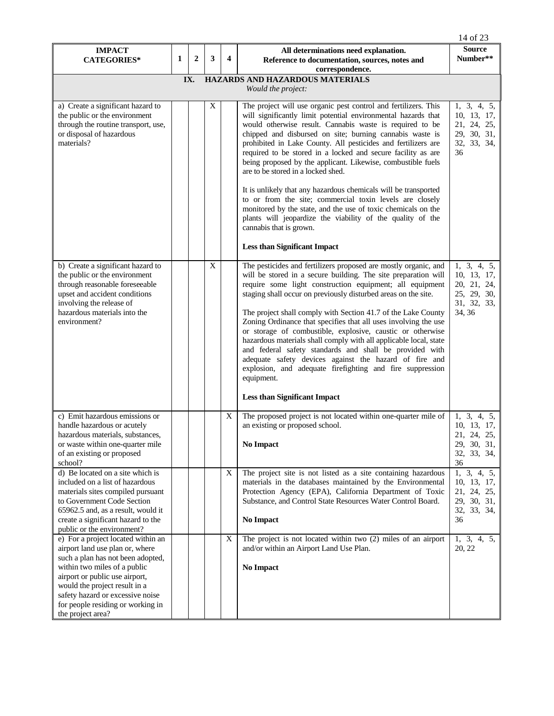|                                                                                                                                                                                                                                                                                                             |   |                |             |                         |                                                                                                                                                                                                                                                                                                                                                                                                                                                                                                                                                                                                                                                                                                                                                                                          | 14 of 23                                                                          |  |  |  |  |  |
|-------------------------------------------------------------------------------------------------------------------------------------------------------------------------------------------------------------------------------------------------------------------------------------------------------------|---|----------------|-------------|-------------------------|------------------------------------------------------------------------------------------------------------------------------------------------------------------------------------------------------------------------------------------------------------------------------------------------------------------------------------------------------------------------------------------------------------------------------------------------------------------------------------------------------------------------------------------------------------------------------------------------------------------------------------------------------------------------------------------------------------------------------------------------------------------------------------------|-----------------------------------------------------------------------------------|--|--|--|--|--|
| <b>IMPACT</b><br><b>CATEGORIES*</b>                                                                                                                                                                                                                                                                         | 1 | $\overline{2}$ | 3           | $\overline{\mathbf{4}}$ | All determinations need explanation.<br>Reference to documentation, sources, notes and                                                                                                                                                                                                                                                                                                                                                                                                                                                                                                                                                                                                                                                                                                   | <b>Source</b><br>Number**                                                         |  |  |  |  |  |
|                                                                                                                                                                                                                                                                                                             |   | IX.            |             |                         | correspondence.<br>HAZARDS AND HAZARDOUS MATERIALS                                                                                                                                                                                                                                                                                                                                                                                                                                                                                                                                                                                                                                                                                                                                       |                                                                                   |  |  |  |  |  |
| Would the project:                                                                                                                                                                                                                                                                                          |   |                |             |                         |                                                                                                                                                                                                                                                                                                                                                                                                                                                                                                                                                                                                                                                                                                                                                                                          |                                                                                   |  |  |  |  |  |
| a) Create a significant hazard to<br>the public or the environment<br>through the routine transport, use,<br>or disposal of hazardous<br>materials?                                                                                                                                                         |   |                | X           |                         | The project will use organic pest control and fertilizers. This<br>will significantly limit potential environmental hazards that<br>would otherwise result. Cannabis waste is required to be<br>chipped and disbursed on site; burning cannabis waste is<br>prohibited in Lake County. All pesticides and fertilizers are<br>required to be stored in a locked and secure facility as are<br>being proposed by the applicant. Likewise, combustible fuels<br>are to be stored in a locked shed.<br>It is unlikely that any hazardous chemicals will be transported<br>to or from the site; commercial toxin levels are closely<br>monitored by the state, and the use of toxic chemicals on the<br>plants will jeopardize the viability of the quality of the<br>cannabis that is grown. | 1, 3, 4, 5,<br>10, 13, 17,<br>21, 24, 25,<br>29, 30, 31,<br>32, 33, 34,<br>36     |  |  |  |  |  |
|                                                                                                                                                                                                                                                                                                             |   |                |             |                         | <b>Less than Significant Impact</b>                                                                                                                                                                                                                                                                                                                                                                                                                                                                                                                                                                                                                                                                                                                                                      |                                                                                   |  |  |  |  |  |
| b) Create a significant hazard to<br>the public or the environment<br>through reasonable foreseeable<br>upset and accident conditions<br>involving the release of<br>hazardous materials into the<br>environment?                                                                                           |   |                | $\mathbf X$ |                         | The pesticides and fertilizers proposed are mostly organic, and<br>will be stored in a secure building. The site preparation will<br>require some light construction equipment; all equipment<br>staging shall occur on previously disturbed areas on the site.<br>The project shall comply with Section 41.7 of the Lake County<br>Zoning Ordinance that specifies that all uses involving the use<br>or storage of combustible, explosive, caustic or otherwise<br>hazardous materials shall comply with all applicable local, state<br>and federal safety standards and shall be provided with<br>adequate safety devices against the hazard of fire and<br>explosion, and adequate firefighting and fire suppression<br>equipment.<br><b>Less than Significant Impact</b>            | 1, 3, 4, 5,<br>10, 13, 17,<br>20, 21, 24,<br>25, 29, 30,<br>31, 32, 33,<br>34, 36 |  |  |  |  |  |
| c) Emit hazardous emissions or<br>handle hazardous or acutely<br>hazardous materials, substances.<br>or waste within one-quarter mile<br>of an existing or proposed<br>school?                                                                                                                              |   |                |             | X                       | The proposed project is not located within one-quarter mile of<br>an existing or proposed school.<br>No Impact                                                                                                                                                                                                                                                                                                                                                                                                                                                                                                                                                                                                                                                                           | 1, 3, 4, 5,<br>10, 13, 17,<br>21, 24, 25,<br>29, 30, 31,<br>32, 33, 34,<br>36     |  |  |  |  |  |
| d) Be located on a site which is<br>included on a list of hazardous<br>materials sites compiled pursuant<br>to Government Code Section<br>65962.5 and, as a result, would it<br>create a significant hazard to the<br>public or the environment?                                                            |   |                |             | X                       | The project site is not listed as a site containing hazardous<br>materials in the databases maintained by the Environmental<br>Protection Agency (EPA), California Department of Toxic<br>Substance, and Control State Resources Water Control Board.<br>No Impact                                                                                                                                                                                                                                                                                                                                                                                                                                                                                                                       | 1, 3, 4, 5,<br>10, 13, 17,<br>21, 24, 25,<br>29, 30, 31,<br>32, 33, 34,<br>36     |  |  |  |  |  |
| e) For a project located within an<br>airport land use plan or, where<br>such a plan has not been adopted,<br>within two miles of a public<br>airport or public use airport,<br>would the project result in a<br>safety hazard or excessive noise<br>for people residing or working in<br>the project area? |   |                |             | $\mathbf X$             | The project is not located within two (2) miles of an airport<br>and/or within an Airport Land Use Plan.<br><b>No Impact</b>                                                                                                                                                                                                                                                                                                                                                                                                                                                                                                                                                                                                                                                             | 1, 3, 4, 5,<br>20, 22                                                             |  |  |  |  |  |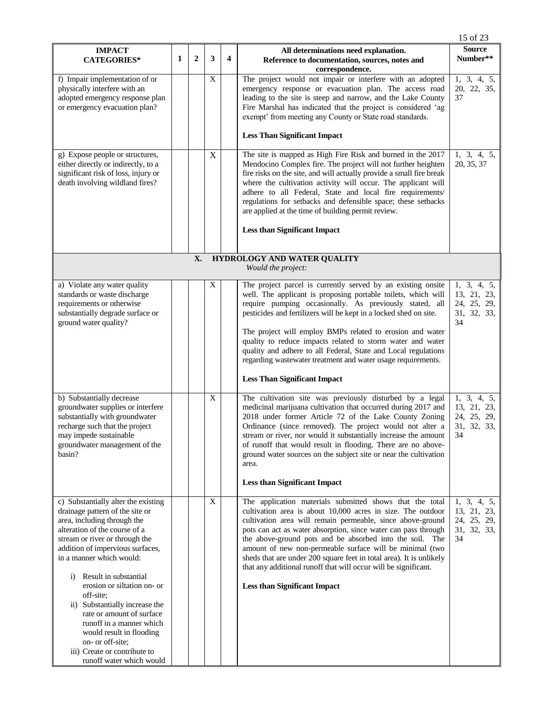|                                                                                                                                                                                                                                          |              |                |             |                         |                                                                                                                                                                                                                                                                                                                                                                                                                                                                                                                           | 15 of 23                                                       |
|------------------------------------------------------------------------------------------------------------------------------------------------------------------------------------------------------------------------------------------|--------------|----------------|-------------|-------------------------|---------------------------------------------------------------------------------------------------------------------------------------------------------------------------------------------------------------------------------------------------------------------------------------------------------------------------------------------------------------------------------------------------------------------------------------------------------------------------------------------------------------------------|----------------------------------------------------------------|
| <b>IMPACT</b><br><b>CATEGORIES*</b>                                                                                                                                                                                                      | $\mathbf{1}$ | $\overline{2}$ | 3           | $\overline{\mathbf{4}}$ | All determinations need explanation.<br>Reference to documentation, sources, notes and<br>correspondence.                                                                                                                                                                                                                                                                                                                                                                                                                 | <b>Source</b><br>Number**                                      |
| f) Impair implementation of or<br>physically interfere with an<br>adopted emergency response plan<br>or emergency evacuation plan?                                                                                                       |              |                | X           |                         | The project would not impair or interfere with an adopted<br>emergency response or evacuation plan. The access road<br>leading to the site is steep and narrow, and the Lake County<br>Fire Marshal has indicated that the project is considered 'ag<br>exempt' from meeting any County or State road standards.                                                                                                                                                                                                          | 1, 3, 4, 5,<br>20, 22, 35,<br>37                               |
|                                                                                                                                                                                                                                          |              |                |             |                         | <b>Less Than Significant Impact</b>                                                                                                                                                                                                                                                                                                                                                                                                                                                                                       |                                                                |
| g) Expose people or structures,<br>either directly or indirectly, to a<br>significant risk of loss, injury or<br>death involving wildland fires?                                                                                         |              |                | $\mathbf X$ |                         | The site is mapped as High Fire Risk and burned in the 2017<br>Mendocino Complex fire. The project will not further heighten<br>fire risks on the site, and will actually provide a small fire break<br>where the cultivation activity will occur. The applicant will<br>adhere to all Federal, State and local fire requirements/<br>regulations for setbacks and defensible space; these setbacks<br>are applied at the time of building permit review.                                                                 | 1, 3, 4, 5,<br>20, 35, 37                                      |
|                                                                                                                                                                                                                                          |              |                |             |                         | <b>Less than Significant Impact</b>                                                                                                                                                                                                                                                                                                                                                                                                                                                                                       |                                                                |
|                                                                                                                                                                                                                                          |              | X.             |             |                         | HYDROLOGY AND WATER QUALITY<br>Would the project:                                                                                                                                                                                                                                                                                                                                                                                                                                                                         |                                                                |
|                                                                                                                                                                                                                                          |              |                |             |                         |                                                                                                                                                                                                                                                                                                                                                                                                                                                                                                                           |                                                                |
| a) Violate any water quality<br>standards or waste discharge<br>requirements or otherwise<br>substantially degrade surface or<br>ground water quality?                                                                                   |              |                | X           |                         | The project parcel is currently served by an existing onsite<br>well. The applicant is proposing portable toilets, which will<br>require pumping occasionally. As previously stated, all<br>pesticides and fertilizers will be kept in a locked shed on site.                                                                                                                                                                                                                                                             | 1, 3, 4, 5,<br>13, 21, 23,<br>24, 25, 29,<br>31, 32, 33,<br>34 |
|                                                                                                                                                                                                                                          |              |                |             |                         | The project will employ BMPs related to erosion and water<br>quality to reduce impacts related to storm water and water<br>quality and adhere to all Federal, State and Local regulations<br>regarding wastewater treatment and water usage requirements.                                                                                                                                                                                                                                                                 |                                                                |
|                                                                                                                                                                                                                                          |              |                |             |                         | <b>Less Than Significant Impact</b>                                                                                                                                                                                                                                                                                                                                                                                                                                                                                       |                                                                |
| b) Substantially decrease<br>groundwater supplies or interfere<br>substantially with groundwater<br>recharge such that the project<br>may impede sustainable<br>groundwater management of the<br>basin?                                  |              |                | $\mathbf X$ |                         | The cultivation site was previously disturbed by a legal<br>medicinal marijuana cultivation that occurred during 2017 and<br>2018 under former Article 72 of the Lake County Zoning<br>Ordinance (since removed). The project would not alter a<br>stream or river, nor would it substantially increase the amount<br>of runoff that would result in flooding. There are no above-<br>ground water sources on the subject site or near the cultivation<br>area.                                                           | 1, 3, 4, 5,<br>13, 21, 23,<br>24, 25, 29,<br>31, 32, 33,<br>34 |
|                                                                                                                                                                                                                                          |              |                |             |                         | <b>Less than Significant Impact</b>                                                                                                                                                                                                                                                                                                                                                                                                                                                                                       |                                                                |
| c) Substantially alter the existing<br>drainage pattern of the site or<br>area, including through the<br>alteration of the course of a<br>stream or river or through the<br>addition of impervious surfaces,<br>in a manner which would: |              |                | $\mathbf X$ |                         | The application materials submitted shows that the total<br>cultivation area is about 10,000 acres in size. The outdoor<br>cultivation area will remain permeable, since above-ground<br>pots can act as water absorption, since water can pass through<br>the above-ground pots and be absorbed into the soil. The<br>amount of new non-permeable surface will be minimal (two<br>sheds that are under 200 square feet in total area). It is unlikely<br>that any additional runoff that will occur will be significant. | 1, 3, 4, 5,<br>13, 21, 23,<br>24, 25, 29,<br>31, 32, 33,<br>34 |
| Result in substantial<br>$\ddot{1}$<br>erosion or siltation on- or<br>off-site;<br>ii) Substantially increase the<br>rate or amount of surface<br>runoff in a manner which<br>would result in flooding<br>on- or off-site;               |              |                |             |                         | <b>Less than Significant Impact</b>                                                                                                                                                                                                                                                                                                                                                                                                                                                                                       |                                                                |
| iii) Create or contribute to<br>runoff water which would                                                                                                                                                                                 |              |                |             |                         |                                                                                                                                                                                                                                                                                                                                                                                                                                                                                                                           |                                                                |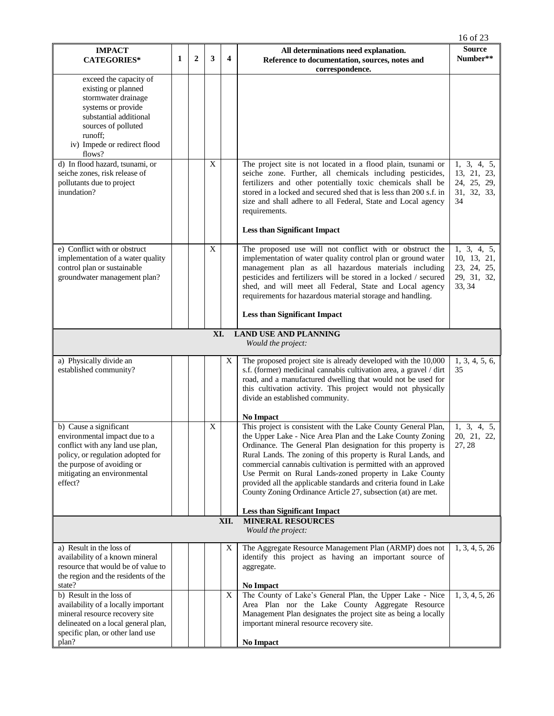|                                                                                                                                                                                                          |                                                        |              |             |                  |                                                                                                                                                                                                                                                                                                                                                                                                                                                                                                                                                                                          | 16 of 23                                                           |  |  |  |
|----------------------------------------------------------------------------------------------------------------------------------------------------------------------------------------------------------|--------------------------------------------------------|--------------|-------------|------------------|------------------------------------------------------------------------------------------------------------------------------------------------------------------------------------------------------------------------------------------------------------------------------------------------------------------------------------------------------------------------------------------------------------------------------------------------------------------------------------------------------------------------------------------------------------------------------------------|--------------------------------------------------------------------|--|--|--|
| <b>IMPACT</b><br><b>CATEGORIES*</b>                                                                                                                                                                      | 1                                                      | $\mathbf{2}$ | 3           | $\boldsymbol{4}$ | All determinations need explanation.<br>Reference to documentation, sources, notes and<br>correspondence.                                                                                                                                                                                                                                                                                                                                                                                                                                                                                | <b>Source</b><br>Number**                                          |  |  |  |
| exceed the capacity of<br>existing or planned<br>stormwater drainage<br>systems or provide<br>substantial additional<br>sources of polluted<br>runoff;<br>iv) Impede or redirect flood<br>flows?         |                                                        |              |             |                  |                                                                                                                                                                                                                                                                                                                                                                                                                                                                                                                                                                                          |                                                                    |  |  |  |
| d) In flood hazard, tsunami, or<br>seiche zones, risk release of<br>pollutants due to project<br>inundation?                                                                                             |                                                        |              | $\mathbf X$ |                  | The project site is not located in a flood plain, tsunami or<br>seiche zone. Further, all chemicals including pesticides,<br>fertilizers and other potentially toxic chemicals shall be<br>stored in a locked and secured shed that is less than 200 s.f. in<br>size and shall adhere to all Federal, State and Local agency<br>requirements.<br><b>Less than Significant Impact</b>                                                                                                                                                                                                     | 1, 3, 4, 5,<br>13, 21, 23,<br>24, 25, 29,<br>31, 32, 33,<br>34     |  |  |  |
| e) Conflict with or obstruct<br>implementation of a water quality<br>control plan or sustainable<br>groundwater management plan?                                                                         |                                                        |              | $\mathbf X$ |                  | The proposed use will not conflict with or obstruct the<br>implementation of water quality control plan or ground water<br>management plan as all hazardous materials including<br>pesticides and fertilizers will be stored in a locked / secured<br>shed, and will meet all Federal, State and Local agency<br>requirements for hazardous material storage and handling.<br><b>Less than Significant Impact</b>                                                                                                                                                                        | 1, 3, 4, 5,<br>10, 13, 21,<br>23, 24, 25,<br>29, 31, 32,<br>33, 34 |  |  |  |
|                                                                                                                                                                                                          |                                                        |              | XI.         |                  | <b>LAND USE AND PLANNING</b>                                                                                                                                                                                                                                                                                                                                                                                                                                                                                                                                                             |                                                                    |  |  |  |
|                                                                                                                                                                                                          |                                                        |              |             |                  | Would the project:                                                                                                                                                                                                                                                                                                                                                                                                                                                                                                                                                                       |                                                                    |  |  |  |
| a) Physically divide an<br>established community?                                                                                                                                                        |                                                        |              |             | X                | The proposed project site is already developed with the 10,000<br>s.f. (former) medicinal cannabis cultivation area, a gravel / dirt<br>road, and a manufactured dwelling that would not be used for<br>this cultivation activity. This project would not physically<br>divide an established community.                                                                                                                                                                                                                                                                                 | 1, 3, 4, 5, 6,<br>35                                               |  |  |  |
| b) Cause a significant<br>environmental impact due to a<br>conflict with any land use plan,<br>policy, or regulation adopted for<br>the purpose of avoiding or<br>mitigating an environmental<br>effect? |                                                        |              | X           |                  | <b>No Impact</b><br>This project is consistent with the Lake County General Plan,<br>the Upper Lake - Nice Area Plan and the Lake County Zoning  <br>Ordinance. The General Plan designation for this property is<br>Rural Lands. The zoning of this property is Rural Lands, and<br>commercial cannabis cultivation is permitted with an approved<br>Use Permit on Rural Lands-zoned property in Lake County<br>provided all the applicable standards and criteria found in Lake<br>County Zoning Ordinance Article 27, subsection (at) are met.<br><b>Less than Significant Impact</b> | 1, 3, 4, 5,<br>20, 21, 22,<br>27, 28                               |  |  |  |
|                                                                                                                                                                                                          | <b>MINERAL RESOURCES</b><br>XII.<br>Would the project: |              |             |                  |                                                                                                                                                                                                                                                                                                                                                                                                                                                                                                                                                                                          |                                                                    |  |  |  |
| a) Result in the loss of<br>availability of a known mineral<br>resource that would be of value to<br>the region and the residents of the<br>state?                                                       |                                                        |              |             | X                | The Aggregate Resource Management Plan (ARMP) does not<br>identify this project as having an important source of<br>aggregate.<br><b>No Impact</b>                                                                                                                                                                                                                                                                                                                                                                                                                                       | 1, 3, 4, 5, 26                                                     |  |  |  |
| b) Result in the loss of<br>availability of a locally important<br>mineral resource recovery site<br>delineated on a local general plan,<br>specific plan, or other land use<br>plan?                    |                                                        |              |             | X                | The County of Lake's General Plan, the Upper Lake - Nice<br>Area Plan nor the Lake County Aggregate Resource<br>Management Plan designates the project site as being a locally<br>important mineral resource recovery site.<br><b>No Impact</b>                                                                                                                                                                                                                                                                                                                                          | 1, 3, 4, 5, 26                                                     |  |  |  |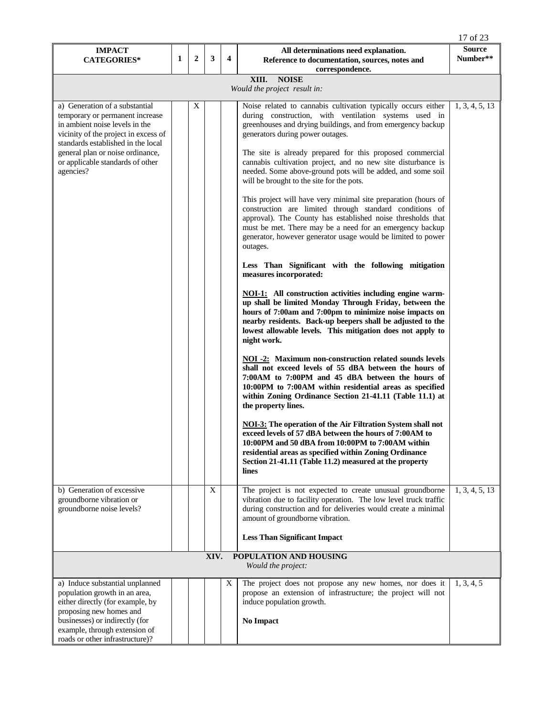|                                                                                                                                                                                                                                                                        |   |   |              |                         |                                                                                                                                                                                                                                                                                                                                                                                                                                                                                                                                                                                                                                                                                                                                                                                                                                                                                                                                                                                                                                                                                                                                                                                                                                                                                                                                                                                                                                                                                                                                                                                                                                                                                                                                                                                                                                                                    | 17 of 23           |  |  |
|------------------------------------------------------------------------------------------------------------------------------------------------------------------------------------------------------------------------------------------------------------------------|---|---|--------------|-------------------------|--------------------------------------------------------------------------------------------------------------------------------------------------------------------------------------------------------------------------------------------------------------------------------------------------------------------------------------------------------------------------------------------------------------------------------------------------------------------------------------------------------------------------------------------------------------------------------------------------------------------------------------------------------------------------------------------------------------------------------------------------------------------------------------------------------------------------------------------------------------------------------------------------------------------------------------------------------------------------------------------------------------------------------------------------------------------------------------------------------------------------------------------------------------------------------------------------------------------------------------------------------------------------------------------------------------------------------------------------------------------------------------------------------------------------------------------------------------------------------------------------------------------------------------------------------------------------------------------------------------------------------------------------------------------------------------------------------------------------------------------------------------------------------------------------------------------------------------------------------------------|--------------------|--|--|
| <b>IMPACT</b><br><b>CATEGORIES*</b>                                                                                                                                                                                                                                    | 1 | 2 | 3            | $\overline{\mathbf{4}}$ | All determinations need explanation.<br>Reference to documentation, sources, notes and<br>correspondence.                                                                                                                                                                                                                                                                                                                                                                                                                                                                                                                                                                                                                                                                                                                                                                                                                                                                                                                                                                                                                                                                                                                                                                                                                                                                                                                                                                                                                                                                                                                                                                                                                                                                                                                                                          | Source<br>Number** |  |  |
| XIII.<br><b>NOISE</b><br>Would the project result in:                                                                                                                                                                                                                  |   |   |              |                         |                                                                                                                                                                                                                                                                                                                                                                                                                                                                                                                                                                                                                                                                                                                                                                                                                                                                                                                                                                                                                                                                                                                                                                                                                                                                                                                                                                                                                                                                                                                                                                                                                                                                                                                                                                                                                                                                    |                    |  |  |
| a) Generation of a substantial<br>temporary or permanent increase<br>in ambient noise levels in the<br>vicinity of the project in excess of<br>standards established in the local<br>general plan or noise ordinance,<br>or applicable standards of other<br>agencies? |   | X |              |                         | Noise related to cannabis cultivation typically occurs either<br>during construction, with ventilation systems used in<br>greenhouses and drying buildings, and from emergency backup<br>generators during power outages.<br>The site is already prepared for this proposed commercial<br>cannabis cultivation project, and no new site disturbance is<br>needed. Some above-ground pots will be added, and some soil<br>will be brought to the site for the pots.<br>This project will have very minimal site preparation (hours of<br>construction are limited through standard conditions of<br>approval). The County has established noise thresholds that<br>must be met. There may be a need for an emergency backup<br>generator, however generator usage would be limited to power<br>outages.<br>Less Than Significant with the following mitigation<br>measures incorporated:<br>NOI-1: All construction activities including engine warm-<br>up shall be limited Monday Through Friday, between the<br>hours of 7:00am and 7:00pm to minimize noise impacts on<br>nearby residents. Back-up beepers shall be adjusted to the<br>lowest allowable levels. This mitigation does not apply to<br>night work.<br><b>NOI -2:</b> Maximum non-construction related sounds levels<br>shall not exceed levels of 55 dBA between the hours of<br>7:00AM to 7:00PM and 45 dBA between the hours of<br>10:00PM to 7:00AM within residential areas as specified<br>within Zoning Ordinance Section 21-41.11 (Table 11.1) at<br>the property lines.<br><b>NOI-3:</b> The operation of the Air Filtration System shall not<br>exceed levels of 57 dBA between the hours of 7:00AM to<br>10:00PM and 50 dBA from 10:00PM to 7:00AM within<br>residential areas as specified within Zoning Ordinance<br>Section 21-41.11 (Table 11.2) measured at the property<br>lines | 1, 3, 4, 5, 13     |  |  |
| b) Generation of excessive<br>groundborne vibration or<br>groundborne noise levels?                                                                                                                                                                                    |   |   | $\mathbf{X}$ |                         | The project is not expected to create unusual groundborne<br>vibration due to facility operation. The low level truck traffic<br>during construction and for deliveries would create a minimal<br>amount of groundborne vibration.<br><b>Less Than Significant Impact</b>                                                                                                                                                                                                                                                                                                                                                                                                                                                                                                                                                                                                                                                                                                                                                                                                                                                                                                                                                                                                                                                                                                                                                                                                                                                                                                                                                                                                                                                                                                                                                                                          | 1, 3, 4, 5, 13     |  |  |
| POPULATION AND HOUSING<br>XIV.<br>Would the project:                                                                                                                                                                                                                   |   |   |              |                         |                                                                                                                                                                                                                                                                                                                                                                                                                                                                                                                                                                                                                                                                                                                                                                                                                                                                                                                                                                                                                                                                                                                                                                                                                                                                                                                                                                                                                                                                                                                                                                                                                                                                                                                                                                                                                                                                    |                    |  |  |
| a) Induce substantial unplanned<br>population growth in an area,<br>either directly (for example, by<br>proposing new homes and<br>businesses) or indirectly (for<br>example, through extension of<br>roads or other infrastructure)?                                  |   |   |              | X                       | The project does not propose any new homes, nor does it<br>propose an extension of infrastructure; the project will not<br>induce population growth.<br>No Impact                                                                                                                                                                                                                                                                                                                                                                                                                                                                                                                                                                                                                                                                                                                                                                                                                                                                                                                                                                                                                                                                                                                                                                                                                                                                                                                                                                                                                                                                                                                                                                                                                                                                                                  | 1, 3, 4, 5         |  |  |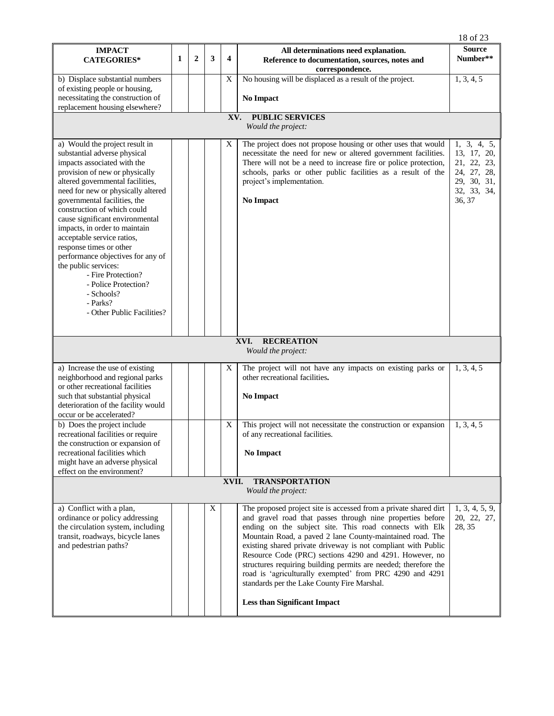|                                                                                                                                                                                                                                                                                                                                                                                                                                                                                                                                                                          |   |              |   |                         |                                                                                                                                                                                                                                                                                                                                                                                                                                                                                                                                                                                                         | 18 of 23                                                                                         |  |  |
|--------------------------------------------------------------------------------------------------------------------------------------------------------------------------------------------------------------------------------------------------------------------------------------------------------------------------------------------------------------------------------------------------------------------------------------------------------------------------------------------------------------------------------------------------------------------------|---|--------------|---|-------------------------|---------------------------------------------------------------------------------------------------------------------------------------------------------------------------------------------------------------------------------------------------------------------------------------------------------------------------------------------------------------------------------------------------------------------------------------------------------------------------------------------------------------------------------------------------------------------------------------------------------|--------------------------------------------------------------------------------------------------|--|--|
| <b>IMPACT</b><br><b>CATEGORIES*</b>                                                                                                                                                                                                                                                                                                                                                                                                                                                                                                                                      | 1 | $\mathbf{2}$ | 3 | $\overline{\mathbf{4}}$ | All determinations need explanation.<br>Reference to documentation, sources, notes and<br>correspondence.                                                                                                                                                                                                                                                                                                                                                                                                                                                                                               | <b>Source</b><br>Number**                                                                        |  |  |
| b) Displace substantial numbers                                                                                                                                                                                                                                                                                                                                                                                                                                                                                                                                          |   |              |   | X                       | No housing will be displaced as a result of the project.                                                                                                                                                                                                                                                                                                                                                                                                                                                                                                                                                | 1, 3, 4, 5                                                                                       |  |  |
| of existing people or housing,                                                                                                                                                                                                                                                                                                                                                                                                                                                                                                                                           |   |              |   |                         |                                                                                                                                                                                                                                                                                                                                                                                                                                                                                                                                                                                                         |                                                                                                  |  |  |
| necessitating the construction of<br>replacement housing elsewhere?                                                                                                                                                                                                                                                                                                                                                                                                                                                                                                      |   |              |   |                         | <b>No Impact</b>                                                                                                                                                                                                                                                                                                                                                                                                                                                                                                                                                                                        |                                                                                                  |  |  |
|                                                                                                                                                                                                                                                                                                                                                                                                                                                                                                                                                                          |   |              |   |                         | <b>PUBLIC SERVICES</b>                                                                                                                                                                                                                                                                                                                                                                                                                                                                                                                                                                                  |                                                                                                  |  |  |
| XV.<br>Would the project:                                                                                                                                                                                                                                                                                                                                                                                                                                                                                                                                                |   |              |   |                         |                                                                                                                                                                                                                                                                                                                                                                                                                                                                                                                                                                                                         |                                                                                                  |  |  |
| a) Would the project result in<br>substantial adverse physical<br>impacts associated with the<br>provision of new or physically<br>altered governmental facilities,<br>need for new or physically altered<br>governmental facilities, the<br>construction of which could<br>cause significant environmental<br>impacts, in order to maintain<br>acceptable service ratios,<br>response times or other<br>performance objectives for any of<br>the public services:<br>- Fire Protection?<br>- Police Protection?<br>- Schools?<br>- Parks?<br>- Other Public Facilities? |   |              |   | X                       | The project does not propose housing or other uses that would<br>necessitate the need for new or altered government facilities.<br>There will not be a need to increase fire or police protection,<br>schools, parks or other public facilities as a result of the<br>project's implementation.<br><b>No Impact</b>                                                                                                                                                                                                                                                                                     | 1, 3, 4, 5,<br>13, 17, 20,<br>21, 22, 23,<br>24, 27, 28,<br>29, 30, 31,<br>32, 33, 34,<br>36, 37 |  |  |
|                                                                                                                                                                                                                                                                                                                                                                                                                                                                                                                                                                          |   |              |   |                         | XVI.<br><b>RECREATION</b><br>Would the project:                                                                                                                                                                                                                                                                                                                                                                                                                                                                                                                                                         |                                                                                                  |  |  |
|                                                                                                                                                                                                                                                                                                                                                                                                                                                                                                                                                                          |   |              |   |                         |                                                                                                                                                                                                                                                                                                                                                                                                                                                                                                                                                                                                         |                                                                                                  |  |  |
| a) Increase the use of existing<br>neighborhood and regional parks<br>or other recreational facilities<br>such that substantial physical<br>deterioration of the facility would                                                                                                                                                                                                                                                                                                                                                                                          |   |              |   | X                       | The project will not have any impacts on existing parks or<br>other recreational facilities.<br><b>No Impact</b>                                                                                                                                                                                                                                                                                                                                                                                                                                                                                        | 1, 3, 4, 5                                                                                       |  |  |
| occur or be accelerated?<br>b) Does the project include                                                                                                                                                                                                                                                                                                                                                                                                                                                                                                                  |   |              |   | X                       | This project will not necessitate the construction or expansion                                                                                                                                                                                                                                                                                                                                                                                                                                                                                                                                         | 1, 3, 4, 5                                                                                       |  |  |
| recreational facilities or require<br>the construction or expansion of<br>recreational facilities which<br>might have an adverse physical<br>effect on the environment?                                                                                                                                                                                                                                                                                                                                                                                                  |   |              |   |                         | of any recreational facilities.<br>No Impact                                                                                                                                                                                                                                                                                                                                                                                                                                                                                                                                                            |                                                                                                  |  |  |
|                                                                                                                                                                                                                                                                                                                                                                                                                                                                                                                                                                          |   |              |   | XVII.                   | <b>TRANSPORTATION</b><br>Would the project:                                                                                                                                                                                                                                                                                                                                                                                                                                                                                                                                                             |                                                                                                  |  |  |
| a) Conflict with a plan,<br>ordinance or policy addressing<br>the circulation system, including<br>transit, roadways, bicycle lanes<br>and pedestrian paths?                                                                                                                                                                                                                                                                                                                                                                                                             |   |              | X |                         | The proposed project site is accessed from a private shared dirt<br>and gravel road that passes through nine properties before<br>ending on the subject site. This road connects with Elk<br>Mountain Road, a paved 2 lane County-maintained road. The<br>existing shared private driveway is not compliant with Public<br>Resource Code (PRC) sections 4290 and 4291. However, no<br>structures requiring building permits are needed; therefore the<br>road is 'agriculturally exempted' from PRC 4290 and 4291<br>standards per the Lake County Fire Marshal.<br><b>Less than Significant Impact</b> | 1, 3, 4, 5, 9,<br>20, 22, 27,<br>28, 35                                                          |  |  |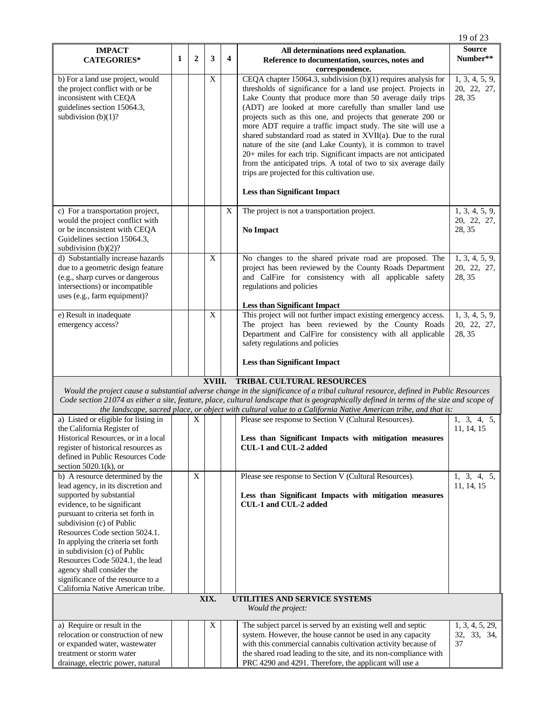| <b>Source</b><br><b>IMPACT</b><br>All determinations need explanation.<br>$\mathbf{1}$<br>$\overline{2}$<br>3<br>$\overline{\mathbf{4}}$<br>Number**<br><b>CATEGORIES*</b><br>Reference to documentation, sources, notes and<br>correspondence.<br>X<br>CEQA chapter 15064.3, subdivision $(b)(1)$ requires analysis for<br>1, 3, 4, 5, 9,<br>b) For a land use project, would<br>thresholds of significance for a land use project. Projects in<br>the project conflict with or be<br>20, 22, 27,<br>inconsistent with CEQA<br>Lake County that produce more than 50 average daily trips<br>28, 35<br>guidelines section 15064.3,<br>(ADT) are looked at more carefully than smaller land use<br>subdivision $(b)(1)$ ?<br>projects such as this one, and projects that generate 200 or<br>more ADT require a traffic impact study. The site will use a<br>shared substandard road as stated in XVII(a). Due to the rural<br>nature of the site (and Lake County), it is common to travel<br>20+ miles for each trip. Significant impacts are not anticipated<br>from the anticipated trips. A total of two to six average daily<br>trips are projected for this cultivation use.<br><b>Less than Significant Impact</b><br>1, 3, 4, 5, 9,<br>X<br>The project is not a transportation project.<br>c) For a transportation project,<br>would the project conflict with<br>20, 22, 27,<br>or be inconsistent with CEQA<br>28, 35<br>No Impact<br>Guidelines section 15064.3,<br>subdivision $(b)(2)$ ?<br>$\mathbf X$<br>d) Substantially increase hazards<br>No changes to the shared private road are proposed. The<br>1, 3, 4, 5, 9,<br>due to a geometric design feature<br>project has been reviewed by the County Roads Department<br>20, 22, 27,<br>(e.g., sharp curves or dangerous<br>and CalFire for consistency with all applicable safety<br>28, 35<br>intersections) or incompatible<br>regulations and policies<br>uses (e.g., farm equipment)?<br><b>Less than Significant Impact</b><br>This project will not further impact existing emergency access.<br>e) Result in inadequate<br>$\boldsymbol{\mathrm{X}}$<br>1, 3, 4, 5, 9,<br>The project has been reviewed by the County Roads<br>emergency access?<br>20, 22, 27,<br>Department and CalFire for consistency with all applicable<br>28, 35<br>safety regulations and policies<br><b>Less than Significant Impact</b><br><b>TRIBAL CULTURAL RESOURCES</b><br>XVIII.<br>Would the project cause a substantial adverse change in the significance of a tribal cultural resource, defined in Public Resources<br>Code section 21074 as either a site, feature, place, cultural landscape that is geographically defined in terms of the size and scope of<br>the landscape, sacred place, or object with cultural value to a California Native American tribe, and that is:<br>a) Listed or eligible for listing in<br>Please see response to Section V (Cultural Resources).<br>X<br>1, 3, 4, 5,<br>the California Register of<br>11, 14, 15<br>Historical Resources, or in a local<br>Less than Significant Impacts with mitigation measures<br>register of historical resources as<br>CUL-1 and CUL-2 added<br>defined in Public Resources Code<br>section $5020.1(k)$ , or<br>b) A resource determined by the<br>X<br>Please see response to Section V (Cultural Resources).<br>1, 3, 4, 5,<br>lead agency, in its discretion and<br>11, 14, 15<br>supported by substantial<br>Less than Significant Impacts with mitigation measures<br>CUL-1 and CUL-2 added<br>evidence, to be significant<br>pursuant to criteria set forth in<br>subdivision (c) of Public<br>Resources Code section 5024.1.<br>In applying the criteria set forth<br>in subdivision (c) of Public<br>Resources Code 5024.1, the lead<br>agency shall consider the<br>significance of the resource to a<br>California Native American tribe.<br>XIX.<br>UTILITIES AND SERVICE SYSTEMS<br>Would the project:<br>The subject parcel is served by an existing well and septic<br>a) Require or result in the<br>X<br>1, 3, 4, 5, 29,<br>relocation or construction of new<br>system. However, the house cannot be used in any capacity<br>32, 33, 34,<br>with this commercial cannabis cultivation activity because of<br>37<br>or expanded water, wastewater<br>the shared road leading to the site, and its non-compliance with<br>treatment or storm water<br>PRC 4290 and 4291. Therefore, the applicant will use a<br>drainage, electric power, natural |  |  |  |  |  |  | 19 of 23 |  |  |
|--------------------------------------------------------------------------------------------------------------------------------------------------------------------------------------------------------------------------------------------------------------------------------------------------------------------------------------------------------------------------------------------------------------------------------------------------------------------------------------------------------------------------------------------------------------------------------------------------------------------------------------------------------------------------------------------------------------------------------------------------------------------------------------------------------------------------------------------------------------------------------------------------------------------------------------------------------------------------------------------------------------------------------------------------------------------------------------------------------------------------------------------------------------------------------------------------------------------------------------------------------------------------------------------------------------------------------------------------------------------------------------------------------------------------------------------------------------------------------------------------------------------------------------------------------------------------------------------------------------------------------------------------------------------------------------------------------------------------------------------------------------------------------------------------------------------------------------------------------------------------------------------------------------------------------------------------------------------------------------------------------------------------------------------------------------------------------------------------------------------------------------------------------------------------------------------------------------------------------------------------------------------------------------------------------------------------------------------------------------------------------------------------------------------------------------------------------------------------------------------------------------------------------------------------------------------------------------------------------------------------------------------------------------------------------------------------------------------------------------------------------------------------------------------------------------------------------------------------------------------------------------------------------------------------------------------------------------------------------------------------------------------------------------------------------------------------------------------------------------------------------------------------------------------------------------------------------------------------------------------------------------------------------------------------------------------------------------------------------------------------------------------------------------------------------------------------------------------------------------------------------------------------------------------------------------------------------------------------------------------------------------------------------------------------------------------------------------------------------------------------------------------------------------------------------------------------------------------------------------------------------------------------------------------------------------------------------------------------------------------------------------------------------------------------------------------------------------------------------------------------------------------------------------------------------------------------------------------------------------------------------------------------------------------------------------------------------------------------------------------------------------------------------------------------------------------------------------------------------------------------------|--|--|--|--|--|--|----------|--|--|
|                                                                                                                                                                                                                                                                                                                                                                                                                                                                                                                                                                                                                                                                                                                                                                                                                                                                                                                                                                                                                                                                                                                                                                                                                                                                                                                                                                                                                                                                                                                                                                                                                                                                                                                                                                                                                                                                                                                                                                                                                                                                                                                                                                                                                                                                                                                                                                                                                                                                                                                                                                                                                                                                                                                                                                                                                                                                                                                                                                                                                                                                                                                                                                                                                                                                                                                                                                                                                                                                                                                                                                                                                                                                                                                                                                                                                                                                                                                                                                                                                                                                                                                                                                                                                                                                                                                                                                                                                                                                                                        |  |  |  |  |  |  |          |  |  |
|                                                                                                                                                                                                                                                                                                                                                                                                                                                                                                                                                                                                                                                                                                                                                                                                                                                                                                                                                                                                                                                                                                                                                                                                                                                                                                                                                                                                                                                                                                                                                                                                                                                                                                                                                                                                                                                                                                                                                                                                                                                                                                                                                                                                                                                                                                                                                                                                                                                                                                                                                                                                                                                                                                                                                                                                                                                                                                                                                                                                                                                                                                                                                                                                                                                                                                                                                                                                                                                                                                                                                                                                                                                                                                                                                                                                                                                                                                                                                                                                                                                                                                                                                                                                                                                                                                                                                                                                                                                                                                        |  |  |  |  |  |  |          |  |  |
|                                                                                                                                                                                                                                                                                                                                                                                                                                                                                                                                                                                                                                                                                                                                                                                                                                                                                                                                                                                                                                                                                                                                                                                                                                                                                                                                                                                                                                                                                                                                                                                                                                                                                                                                                                                                                                                                                                                                                                                                                                                                                                                                                                                                                                                                                                                                                                                                                                                                                                                                                                                                                                                                                                                                                                                                                                                                                                                                                                                                                                                                                                                                                                                                                                                                                                                                                                                                                                                                                                                                                                                                                                                                                                                                                                                                                                                                                                                                                                                                                                                                                                                                                                                                                                                                                                                                                                                                                                                                                                        |  |  |  |  |  |  |          |  |  |
|                                                                                                                                                                                                                                                                                                                                                                                                                                                                                                                                                                                                                                                                                                                                                                                                                                                                                                                                                                                                                                                                                                                                                                                                                                                                                                                                                                                                                                                                                                                                                                                                                                                                                                                                                                                                                                                                                                                                                                                                                                                                                                                                                                                                                                                                                                                                                                                                                                                                                                                                                                                                                                                                                                                                                                                                                                                                                                                                                                                                                                                                                                                                                                                                                                                                                                                                                                                                                                                                                                                                                                                                                                                                                                                                                                                                                                                                                                                                                                                                                                                                                                                                                                                                                                                                                                                                                                                                                                                                                                        |  |  |  |  |  |  |          |  |  |
|                                                                                                                                                                                                                                                                                                                                                                                                                                                                                                                                                                                                                                                                                                                                                                                                                                                                                                                                                                                                                                                                                                                                                                                                                                                                                                                                                                                                                                                                                                                                                                                                                                                                                                                                                                                                                                                                                                                                                                                                                                                                                                                                                                                                                                                                                                                                                                                                                                                                                                                                                                                                                                                                                                                                                                                                                                                                                                                                                                                                                                                                                                                                                                                                                                                                                                                                                                                                                                                                                                                                                                                                                                                                                                                                                                                                                                                                                                                                                                                                                                                                                                                                                                                                                                                                                                                                                                                                                                                                                                        |  |  |  |  |  |  |          |  |  |
|                                                                                                                                                                                                                                                                                                                                                                                                                                                                                                                                                                                                                                                                                                                                                                                                                                                                                                                                                                                                                                                                                                                                                                                                                                                                                                                                                                                                                                                                                                                                                                                                                                                                                                                                                                                                                                                                                                                                                                                                                                                                                                                                                                                                                                                                                                                                                                                                                                                                                                                                                                                                                                                                                                                                                                                                                                                                                                                                                                                                                                                                                                                                                                                                                                                                                                                                                                                                                                                                                                                                                                                                                                                                                                                                                                                                                                                                                                                                                                                                                                                                                                                                                                                                                                                                                                                                                                                                                                                                                                        |  |  |  |  |  |  |          |  |  |
|                                                                                                                                                                                                                                                                                                                                                                                                                                                                                                                                                                                                                                                                                                                                                                                                                                                                                                                                                                                                                                                                                                                                                                                                                                                                                                                                                                                                                                                                                                                                                                                                                                                                                                                                                                                                                                                                                                                                                                                                                                                                                                                                                                                                                                                                                                                                                                                                                                                                                                                                                                                                                                                                                                                                                                                                                                                                                                                                                                                                                                                                                                                                                                                                                                                                                                                                                                                                                                                                                                                                                                                                                                                                                                                                                                                                                                                                                                                                                                                                                                                                                                                                                                                                                                                                                                                                                                                                                                                                                                        |  |  |  |  |  |  |          |  |  |
|                                                                                                                                                                                                                                                                                                                                                                                                                                                                                                                                                                                                                                                                                                                                                                                                                                                                                                                                                                                                                                                                                                                                                                                                                                                                                                                                                                                                                                                                                                                                                                                                                                                                                                                                                                                                                                                                                                                                                                                                                                                                                                                                                                                                                                                                                                                                                                                                                                                                                                                                                                                                                                                                                                                                                                                                                                                                                                                                                                                                                                                                                                                                                                                                                                                                                                                                                                                                                                                                                                                                                                                                                                                                                                                                                                                                                                                                                                                                                                                                                                                                                                                                                                                                                                                                                                                                                                                                                                                                                                        |  |  |  |  |  |  |          |  |  |
|                                                                                                                                                                                                                                                                                                                                                                                                                                                                                                                                                                                                                                                                                                                                                                                                                                                                                                                                                                                                                                                                                                                                                                                                                                                                                                                                                                                                                                                                                                                                                                                                                                                                                                                                                                                                                                                                                                                                                                                                                                                                                                                                                                                                                                                                                                                                                                                                                                                                                                                                                                                                                                                                                                                                                                                                                                                                                                                                                                                                                                                                                                                                                                                                                                                                                                                                                                                                                                                                                                                                                                                                                                                                                                                                                                                                                                                                                                                                                                                                                                                                                                                                                                                                                                                                                                                                                                                                                                                                                                        |  |  |  |  |  |  |          |  |  |
|                                                                                                                                                                                                                                                                                                                                                                                                                                                                                                                                                                                                                                                                                                                                                                                                                                                                                                                                                                                                                                                                                                                                                                                                                                                                                                                                                                                                                                                                                                                                                                                                                                                                                                                                                                                                                                                                                                                                                                                                                                                                                                                                                                                                                                                                                                                                                                                                                                                                                                                                                                                                                                                                                                                                                                                                                                                                                                                                                                                                                                                                                                                                                                                                                                                                                                                                                                                                                                                                                                                                                                                                                                                                                                                                                                                                                                                                                                                                                                                                                                                                                                                                                                                                                                                                                                                                                                                                                                                                                                        |  |  |  |  |  |  |          |  |  |
|                                                                                                                                                                                                                                                                                                                                                                                                                                                                                                                                                                                                                                                                                                                                                                                                                                                                                                                                                                                                                                                                                                                                                                                                                                                                                                                                                                                                                                                                                                                                                                                                                                                                                                                                                                                                                                                                                                                                                                                                                                                                                                                                                                                                                                                                                                                                                                                                                                                                                                                                                                                                                                                                                                                                                                                                                                                                                                                                                                                                                                                                                                                                                                                                                                                                                                                                                                                                                                                                                                                                                                                                                                                                                                                                                                                                                                                                                                                                                                                                                                                                                                                                                                                                                                                                                                                                                                                                                                                                                                        |  |  |  |  |  |  |          |  |  |
|                                                                                                                                                                                                                                                                                                                                                                                                                                                                                                                                                                                                                                                                                                                                                                                                                                                                                                                                                                                                                                                                                                                                                                                                                                                                                                                                                                                                                                                                                                                                                                                                                                                                                                                                                                                                                                                                                                                                                                                                                                                                                                                                                                                                                                                                                                                                                                                                                                                                                                                                                                                                                                                                                                                                                                                                                                                                                                                                                                                                                                                                                                                                                                                                                                                                                                                                                                                                                                                                                                                                                                                                                                                                                                                                                                                                                                                                                                                                                                                                                                                                                                                                                                                                                                                                                                                                                                                                                                                                                                        |  |  |  |  |  |  |          |  |  |
|                                                                                                                                                                                                                                                                                                                                                                                                                                                                                                                                                                                                                                                                                                                                                                                                                                                                                                                                                                                                                                                                                                                                                                                                                                                                                                                                                                                                                                                                                                                                                                                                                                                                                                                                                                                                                                                                                                                                                                                                                                                                                                                                                                                                                                                                                                                                                                                                                                                                                                                                                                                                                                                                                                                                                                                                                                                                                                                                                                                                                                                                                                                                                                                                                                                                                                                                                                                                                                                                                                                                                                                                                                                                                                                                                                                                                                                                                                                                                                                                                                                                                                                                                                                                                                                                                                                                                                                                                                                                                                        |  |  |  |  |  |  |          |  |  |
|                                                                                                                                                                                                                                                                                                                                                                                                                                                                                                                                                                                                                                                                                                                                                                                                                                                                                                                                                                                                                                                                                                                                                                                                                                                                                                                                                                                                                                                                                                                                                                                                                                                                                                                                                                                                                                                                                                                                                                                                                                                                                                                                                                                                                                                                                                                                                                                                                                                                                                                                                                                                                                                                                                                                                                                                                                                                                                                                                                                                                                                                                                                                                                                                                                                                                                                                                                                                                                                                                                                                                                                                                                                                                                                                                                                                                                                                                                                                                                                                                                                                                                                                                                                                                                                                                                                                                                                                                                                                                                        |  |  |  |  |  |  |          |  |  |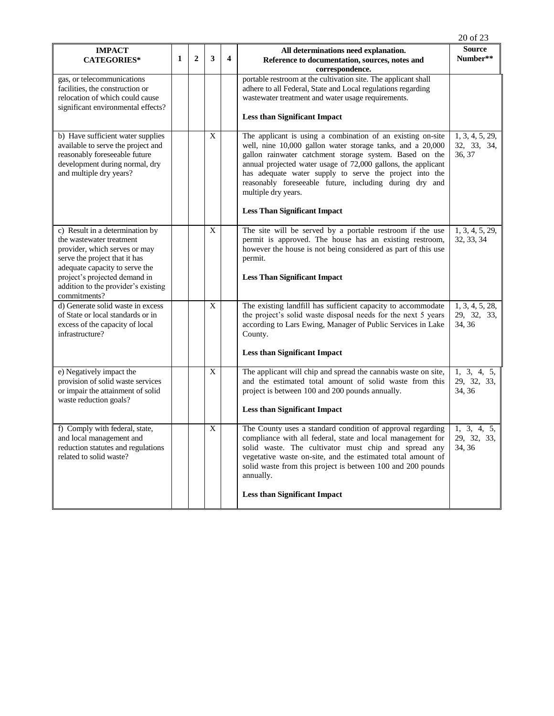|                                                                                                                                                                                                                                                         |              |                |              |                         |                                                                                                                                                                                                                                                                                                                                                                                                                                           | 20 of 23                                 |
|---------------------------------------------------------------------------------------------------------------------------------------------------------------------------------------------------------------------------------------------------------|--------------|----------------|--------------|-------------------------|-------------------------------------------------------------------------------------------------------------------------------------------------------------------------------------------------------------------------------------------------------------------------------------------------------------------------------------------------------------------------------------------------------------------------------------------|------------------------------------------|
| <b>IMPACT</b><br><b>CATEGORIES*</b>                                                                                                                                                                                                                     | $\mathbf{1}$ | $\overline{2}$ | 3            | $\overline{\mathbf{4}}$ | All determinations need explanation.<br>Reference to documentation, sources, notes and<br>correspondence.                                                                                                                                                                                                                                                                                                                                 | <b>Source</b><br>Number**                |
| gas, or telecommunications<br>facilities, the construction or<br>relocation of which could cause<br>significant environmental effects?                                                                                                                  |              |                |              |                         | portable restroom at the cultivation site. The applicant shall<br>adhere to all Federal, State and Local regulations regarding<br>wastewater treatment and water usage requirements.<br><b>Less than Significant Impact</b>                                                                                                                                                                                                               |                                          |
| b) Have sufficient water supplies<br>available to serve the project and<br>reasonably foreseeable future<br>development during normal, dry<br>and multiple dry years?                                                                                   |              |                | X            |                         | The applicant is using a combination of an existing on-site<br>well, nine 10,000 gallon water storage tanks, and a 20,000<br>gallon rainwater catchment storage system. Based on the<br>annual projected water usage of 72,000 gallons, the applicant<br>has adequate water supply to serve the project into the<br>reasonably foreseeable future, including during dry and<br>multiple dry years.<br><b>Less Than Significant Impact</b> | 1, 3, 4, 5, 29,<br>32, 33, 34,<br>36, 37 |
| c) Result in a determination by<br>the wastewater treatment<br>provider, which serves or may<br>serve the project that it has<br>adequate capacity to serve the<br>project's projected demand in<br>addition to the provider's existing<br>commitments? |              |                | $\mathbf{X}$ |                         | The site will be served by a portable restroom if the use<br>permit is approved. The house has an existing restroom,<br>however the house is not being considered as part of this use<br>permit.<br><b>Less Than Significant Impact</b>                                                                                                                                                                                                   | 1, 3, 4, 5, 29,<br>32, 33, 34            |
| d) Generate solid waste in excess<br>of State or local standards or in<br>excess of the capacity of local<br>infrastructure?                                                                                                                            |              |                | $\mathbf X$  |                         | The existing landfill has sufficient capacity to accommodate<br>the project's solid waste disposal needs for the next 5 years<br>according to Lars Ewing, Manager of Public Services in Lake<br>County.<br><b>Less than Significant Impact</b>                                                                                                                                                                                            | 1, 3, 4, 5, 28,<br>29, 32, 33,<br>34, 36 |
| e) Negatively impact the<br>provision of solid waste services<br>or impair the attainment of solid<br>waste reduction goals?                                                                                                                            |              |                | $\mathbf X$  |                         | The applicant will chip and spread the cannabis waste on site,<br>and the estimated total amount of solid waste from this<br>project is between 100 and 200 pounds annually.<br><b>Less than Significant Impact</b>                                                                                                                                                                                                                       | 1, 3, 4, 5,<br>29, 32, 33,<br>34, 36     |
| f) Comply with federal, state,<br>and local management and<br>reduction statutes and regulations<br>related to solid waste?                                                                                                                             |              |                | X            |                         | The County uses a standard condition of approval regarding<br>compliance with all federal, state and local management for<br>solid waste. The cultivator must chip and spread any<br>vegetative waste on-site, and the estimated total amount of<br>solid waste from this project is between 100 and 200 pounds<br>annually.<br><b>Less than Significant Impact</b>                                                                       | 1, 3, 4, 5,<br>29, 32, 33,<br>34, 36     |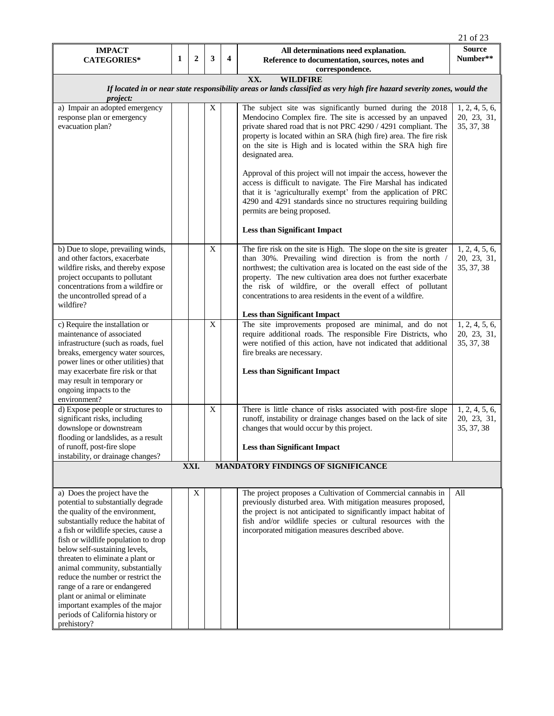|                                                                                                                                                                                                                                                                                                                                                                                                                                                                                                                 |   |                |             |   |                                                                                                                                                                                                                                                                                                                                                                                                    | 21 of 23                                    |  |  |  |
|-----------------------------------------------------------------------------------------------------------------------------------------------------------------------------------------------------------------------------------------------------------------------------------------------------------------------------------------------------------------------------------------------------------------------------------------------------------------------------------------------------------------|---|----------------|-------------|---|----------------------------------------------------------------------------------------------------------------------------------------------------------------------------------------------------------------------------------------------------------------------------------------------------------------------------------------------------------------------------------------------------|---------------------------------------------|--|--|--|
| <b>IMPACT</b><br><b>CATEGORIES*</b>                                                                                                                                                                                                                                                                                                                                                                                                                                                                             | 1 | $\overline{2}$ | 3           | 4 | All determinations need explanation.<br>Reference to documentation, sources, notes and                                                                                                                                                                                                                                                                                                             | <b>Source</b><br>Number**                   |  |  |  |
|                                                                                                                                                                                                                                                                                                                                                                                                                                                                                                                 |   |                |             |   | correspondence.                                                                                                                                                                                                                                                                                                                                                                                    |                                             |  |  |  |
|                                                                                                                                                                                                                                                                                                                                                                                                                                                                                                                 |   |                |             |   | XX.<br><b>WILDFIRE</b>                                                                                                                                                                                                                                                                                                                                                                             |                                             |  |  |  |
| If located in or near state responsibility areas or lands classified as very high fire hazard severity zones, would the<br><i>project:</i>                                                                                                                                                                                                                                                                                                                                                                      |   |                |             |   |                                                                                                                                                                                                                                                                                                                                                                                                    |                                             |  |  |  |
| a) Impair an adopted emergency<br>response plan or emergency                                                                                                                                                                                                                                                                                                                                                                                                                                                    |   |                | X           |   | The subject site was significantly burned during the 2018<br>Mendocino Complex fire. The site is accessed by an unpaved                                                                                                                                                                                                                                                                            | 1, 2, 4, 5, 6,<br>20, 23, 31,               |  |  |  |
| evacuation plan?                                                                                                                                                                                                                                                                                                                                                                                                                                                                                                |   |                |             |   | private shared road that is not PRC 4290 / 4291 compliant. The<br>property is located within an SRA (high fire) area. The fire risk<br>on the site is High and is located within the SRA high fire<br>designated area.                                                                                                                                                                             | 35, 37, 38                                  |  |  |  |
|                                                                                                                                                                                                                                                                                                                                                                                                                                                                                                                 |   |                |             |   | Approval of this project will not impair the access, however the<br>access is difficult to navigate. The Fire Marshal has indicated<br>that it is 'agriculturally exempt' from the application of PRC<br>4290 and 4291 standards since no structures requiring building<br>permits are being proposed.                                                                                             |                                             |  |  |  |
|                                                                                                                                                                                                                                                                                                                                                                                                                                                                                                                 |   |                |             |   | <b>Less than Significant Impact</b>                                                                                                                                                                                                                                                                                                                                                                |                                             |  |  |  |
| b) Due to slope, prevailing winds,<br>and other factors, exacerbate<br>wildfire risks, and thereby expose<br>project occupants to pollutant<br>concentrations from a wildfire or<br>the uncontrolled spread of a<br>wildfire?                                                                                                                                                                                                                                                                                   |   |                | X           |   | The fire risk on the site is High. The slope on the site is greater<br>than 30%. Prevailing wind direction is from the north /<br>northwest: the cultivation area is located on the east side of the<br>property. The new cultivation area does not further exacerbate<br>the risk of wildfire, or the overall effect of pollutant<br>concentrations to area residents in the event of a wildfire. | 1, 2, 4, 5, 6,<br>20, 23, 31,<br>35, 37, 38 |  |  |  |
|                                                                                                                                                                                                                                                                                                                                                                                                                                                                                                                 |   |                |             |   | <b>Less than Significant Impact</b>                                                                                                                                                                                                                                                                                                                                                                |                                             |  |  |  |
| c) Require the installation or<br>maintenance of associated<br>infrastructure (such as roads, fuel<br>breaks, emergency water sources,<br>power lines or other utilities) that                                                                                                                                                                                                                                                                                                                                  |   |                | $\mathbf X$ |   | The site improvements proposed are minimal, and do not<br>require additional roads. The responsible Fire Districts, who<br>were notified of this action, have not indicated that additional<br>fire breaks are necessary.                                                                                                                                                                          | 1, 2, 4, 5, 6,<br>20, 23, 31,<br>35, 37, 38 |  |  |  |
| may exacerbate fire risk or that<br>may result in temporary or<br>ongoing impacts to the<br>environment?                                                                                                                                                                                                                                                                                                                                                                                                        |   |                |             |   | <b>Less than Significant Impact</b>                                                                                                                                                                                                                                                                                                                                                                |                                             |  |  |  |
| d) Expose people or structures to<br>significant risks, including<br>downslope or downstream<br>flooding or landslides, as a result                                                                                                                                                                                                                                                                                                                                                                             |   |                | $\mathbf X$ |   | There is little chance of risks associated with post-fire slope<br>runoff, instability or drainage changes based on the lack of site<br>changes that would occur by this project.                                                                                                                                                                                                                  | 1, 2, 4, 5, 6,<br>20, 23, 31,<br>35, 37, 38 |  |  |  |
| of runoff, post-fire slope<br>instability, or drainage changes?                                                                                                                                                                                                                                                                                                                                                                                                                                                 |   |                |             |   | <b>Less than Significant Impact</b>                                                                                                                                                                                                                                                                                                                                                                |                                             |  |  |  |
|                                                                                                                                                                                                                                                                                                                                                                                                                                                                                                                 |   | XXI.           |             |   | <b>MANDATORY FINDINGS OF SIGNIFICANCE</b>                                                                                                                                                                                                                                                                                                                                                          |                                             |  |  |  |
|                                                                                                                                                                                                                                                                                                                                                                                                                                                                                                                 |   |                |             |   |                                                                                                                                                                                                                                                                                                                                                                                                    |                                             |  |  |  |
| a) Does the project have the<br>potential to substantially degrade<br>the quality of the environment,<br>substantially reduce the habitat of<br>a fish or wildlife species, cause a<br>fish or wildlife population to drop<br>below self-sustaining levels,<br>threaten to eliminate a plant or<br>animal community, substantially<br>reduce the number or restrict the<br>range of a rare or endangered<br>plant or animal or eliminate<br>important examples of the major<br>periods of California history or |   | X              |             |   | The project proposes a Cultivation of Commercial cannabis in<br>previously disturbed area. With mitigation measures proposed,<br>the project is not anticipated to significantly impact habitat of<br>fish and/or wildlife species or cultural resources with the<br>incorporated mitigation measures described above.                                                                             | All                                         |  |  |  |
| prehistory?                                                                                                                                                                                                                                                                                                                                                                                                                                                                                                     |   |                |             |   |                                                                                                                                                                                                                                                                                                                                                                                                    |                                             |  |  |  |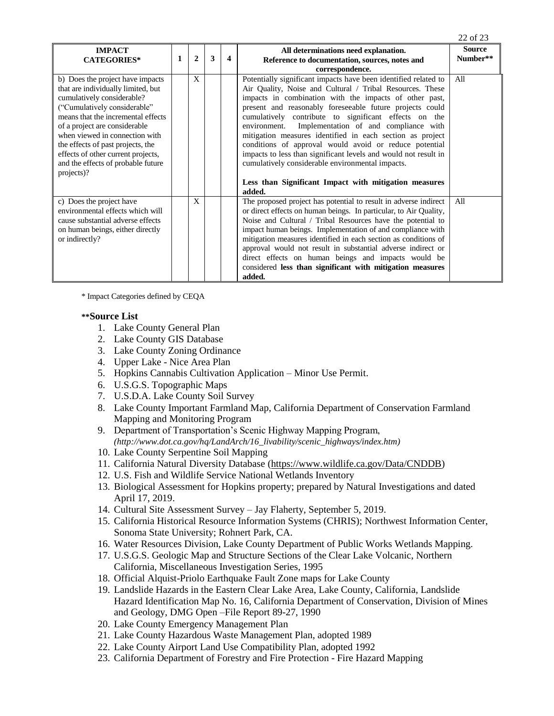|                                                                                                                                                                                                                                                                                                                                                                              |   |   |   |                                                                                                                                                                                                                                                                                                                                                                                                                                                                                                                                                                                                                                                                                    | 22 of 23                  |
|------------------------------------------------------------------------------------------------------------------------------------------------------------------------------------------------------------------------------------------------------------------------------------------------------------------------------------------------------------------------------|---|---|---|------------------------------------------------------------------------------------------------------------------------------------------------------------------------------------------------------------------------------------------------------------------------------------------------------------------------------------------------------------------------------------------------------------------------------------------------------------------------------------------------------------------------------------------------------------------------------------------------------------------------------------------------------------------------------------|---------------------------|
| <b>IMPACT</b><br><b>CATEGORIES*</b>                                                                                                                                                                                                                                                                                                                                          | 2 | 3 | 4 | All determinations need explanation.<br>Reference to documentation, sources, notes and<br>correspondence.                                                                                                                                                                                                                                                                                                                                                                                                                                                                                                                                                                          | <b>Source</b><br>Number** |
| b) Does the project have impacts<br>that are individually limited, but<br>cumulatively considerable?<br>("Cumulatively considerable"<br>means that the incremental effects<br>of a project are considerable<br>when viewed in connection with<br>the effects of past projects, the<br>effects of other current projects,<br>and the effects of probable future<br>projects)? | X |   |   | Potentially significant impacts have been identified related to<br>Air Quality, Noise and Cultural / Tribal Resources. These<br>impacts in combination with the impacts of other past,<br>present and reasonably foreseeable future projects could<br>cumulatively contribute to significant effects on the<br>environment. Implementation of and compliance with<br>mitigation measures identified in each section as project<br>conditions of approval would avoid or reduce potential<br>impacts to less than significant levels and would not result in<br>cumulatively considerable environmental impacts.<br>Less than Significant Impact with mitigation measures<br>added. | All                       |
| c) Does the project have<br>environmental effects which will<br>cause substantial adverse effects<br>on human beings, either directly<br>or indirectly?                                                                                                                                                                                                                      | X |   |   | The proposed project has potential to result in adverse indirect<br>or direct effects on human beings. In particular, to Air Quality,<br>Noise and Cultural / Tribal Resources have the potential to<br>impact human beings. Implementation of and compliance with<br>mitigation measures identified in each section as conditions of<br>approval would not result in substantial adverse indirect or<br>direct effects on human beings and impacts would be<br>considered less than significant with mitigation measures<br>added.                                                                                                                                                | All                       |

\* Impact Categories defined by CEQA

## **\*\*Source List**

- 1. Lake County General Plan
- 2. Lake County GIS Database
- 3. Lake County Zoning Ordinance
- 4. Upper Lake Nice Area Plan
- 5. Hopkins Cannabis Cultivation Application Minor Use Permit.
- 6. U.S.G.S. Topographic Maps
- 7. U.S.D.A. Lake County Soil Survey
- 8. Lake County Important Farmland Map, California Department of Conservation Farmland Mapping and Monitoring Program
- 9. Department of Transportation's Scenic Highway Mapping Program, *(http://www.dot.ca.gov/hq/LandArch/16\_livability/scenic\_highways/index.htm)*
- 10. Lake County Serpentine Soil Mapping
- 11. California Natural Diversity Database [\(https://www.wildlife.ca.gov/Data/CNDDB\)](https://www.wildlife.ca.gov/Data/CNDDB)
- 12. U.S. Fish and Wildlife Service National Wetlands Inventory
- 13. Biological Assessment for Hopkins property; prepared by Natural Investigations and dated April 17, 2019.
- 14. Cultural Site Assessment Survey Jay Flaherty, September 5, 2019.
- 15. California Historical Resource Information Systems (CHRIS); Northwest Information Center, Sonoma State University; Rohnert Park, CA.
- 16. Water Resources Division, Lake County Department of Public Works Wetlands Mapping.
- 17. U.S.G.S. Geologic Map and Structure Sections of the Clear Lake Volcanic, Northern California, Miscellaneous Investigation Series, 1995
- 18. Official Alquist-Priolo Earthquake Fault Zone maps for Lake County
- 19. Landslide Hazards in the Eastern Clear Lake Area, Lake County, California, Landslide Hazard Identification Map No. 16, California Department of Conservation, Division of Mines and Geology, DMG Open –File Report 89-27, 1990
- 20. Lake County Emergency Management Plan
- 21. Lake County Hazardous Waste Management Plan, adopted 1989
- 22. Lake County Airport Land Use Compatibility Plan, adopted 1992
- 23. California Department of Forestry and Fire Protection Fire Hazard Mapping